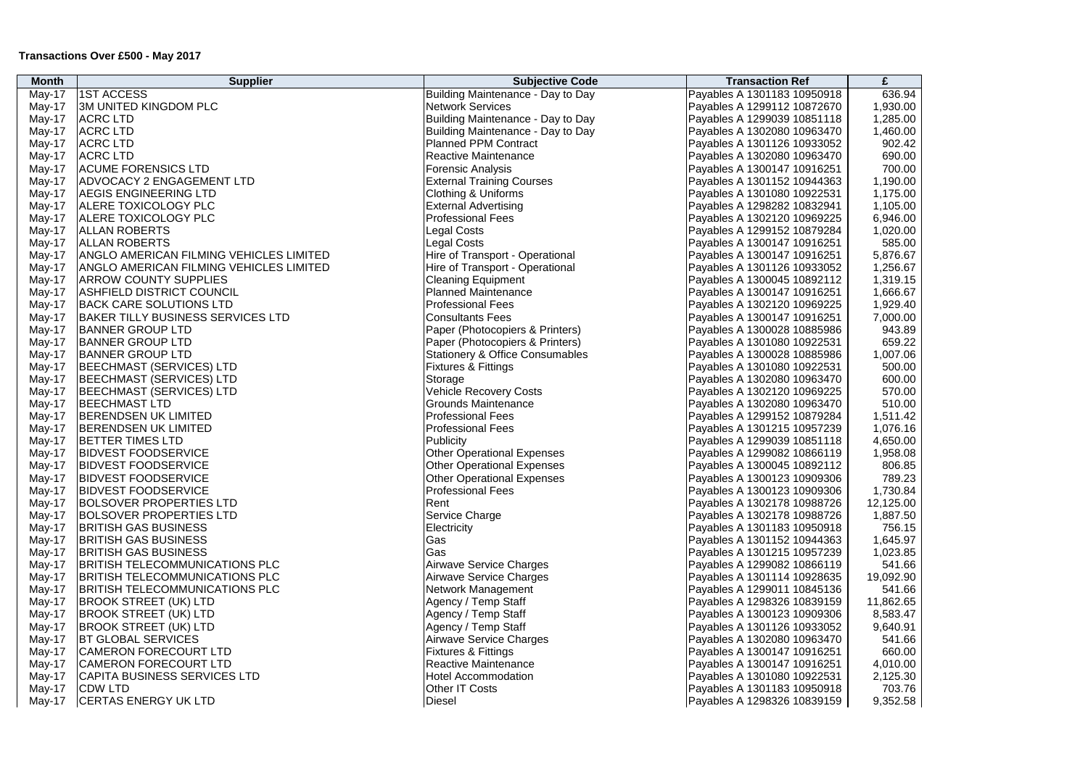| <b>1ST ACCESS</b><br>636.94<br>Building Maintenance - Day to Day<br>Payables A 1301183 10950918<br>$May-17$<br><b>3M UNITED KINGDOM PLC</b><br>Network Services<br>1,930.00<br>Payables A 1299112 10872670<br>May-17<br><b>ACRC LTD</b><br>Building Maintenance - Day to Day<br>1,285.00<br>$May-17$<br>Payables A 1299039 10851118<br><b>ACRC LTD</b><br>Building Maintenance - Day to Day<br>1,460.00<br>Payables A 1302080 10963470<br>May-17<br><b>ACRC LTD</b><br>Planned PPM Contract<br>Payables A 1301126 10933052<br>902.42<br>May-17<br><b>ACRC LTD</b><br>Reactive Maintenance<br>690.00<br>May-17<br>Payables A 1302080 10963470<br><b>ACUME FORENSICS LTD</b><br><b>Forensic Analysis</b><br>700.00<br>Payables A 1300147 10916251<br>May-17<br>1,190.00<br><b>ADVOCACY 2 ENGAGEMENT LTD</b><br><b>External Training Courses</b><br>Payables A 1301152 10944363<br>May-17<br><b>AEGIS ENGINEERING LTD</b><br><b>Clothing &amp; Uniforms</b><br>Payables A 1301080 10922531<br>1,175.00<br>May-17<br><b>ALERE TOXICOLOGY PLC</b><br><b>External Advertising</b><br>1,105.00<br>Payables A 1298282 10832941<br>May-17<br><b>ALERE TOXICOLOGY PLC</b><br><b>Professional Fees</b><br>6,946.00<br>Payables A 1302120 10969225<br>May-17<br><b>ALLAN ROBERTS</b><br><b>Legal Costs</b><br>1,020.00<br>Payables A 1299152 10879284<br>May-17<br><b>ALLAN ROBERTS</b><br><b>Legal Costs</b><br>Payables A 1300147 10916251<br>585.00<br>May-17<br><b>ANGLO AMERICAN FILMING VEHICLES LIMITED</b><br>Hire of Transport - Operational<br>5,876.67<br>Payables A 1300147 10916251<br>May-17<br>Hire of Transport - Operational<br><b>ANGLO AMERICAN FILMING VEHICLES LIMITED</b><br>Payables A 1301126 10933052<br>1,256.67<br>May-17<br>1,319.15<br><b>ARROW COUNTY SUPPLIES</b><br><b>Cleaning Equipment</b><br>Payables A 1300045 10892112<br>May-17<br>1,666.67<br><b>ASHFIELD DISTRICT COUNCIL</b><br>Planned Maintenance<br>Payables A 1300147 10916251<br>May-17<br><b>BACK CARE SOLUTIONS LTD</b><br><b>Professional Fees</b><br>1,929.40<br>Payables A 1302120 10969225<br>May-17<br>BAKER TILLY BUSINESS SERVICES LTD<br>Consultants Fees<br>7,000.00<br>Payables A 1300147 10916251<br>May-17<br>943.89<br><b>BANNER GROUP LTD</b><br>Paper (Photocopiers & Printers)<br>Payables A 1300028 10885986<br>May-17<br><b>BANNER GROUP LTD</b><br>Paper (Photocopiers & Printers)<br>Payables A 1301080 10922531<br>659.22<br>May-17<br>1,007.06<br><b>BANNER GROUP LTD</b><br><b>Stationery &amp; Office Consumables</b><br>May-17<br>Payables A 1300028 10885986<br><b>BEECHMAST (SERVICES) LTD</b><br>500.00<br><b>Fixtures &amp; Fittings</b><br>Payables A 1301080 10922531<br>May-17<br>600.00<br>BEECHMAST (SERVICES) LTD<br>Payables A 1302080 10963470<br>May-17<br>Storage<br>570.00<br><b>Vehicle Recovery Costs</b><br><b>BEECHMAST (SERVICES) LTD</b><br>Payables A 1302120 10969225<br>May-17<br>510.00<br><b>BEECHMAST LTD</b><br>Grounds Maintenance<br>May-17<br>Payables A 1302080 10963470<br>1,511.42<br><b>BERENDSEN UK LIMITED</b><br><b>Professional Fees</b><br>Payables A 1299152 10879284<br>May-17<br><b>BERENDSEN UK LIMITED</b><br>Payables A 1301215 10957239<br>1,076.16<br>Professional Fees<br>May-17<br>Publicity<br>4,650.00<br>May-17<br><b>BETTER TIMES LTD</b><br>Payables A 1299039 10851118<br><b>BIDVEST FOODSERVICE</b><br><b>Other Operational Expenses</b><br>1,958.08<br>Payables A 1299082 10866119<br>$May-17$<br><b>BIDVEST FOODSERVICE</b><br><b>Other Operational Expenses</b><br>806.85<br>Payables A 1300045 10892112<br>May-17<br><b>BIDVEST FOODSERVICE</b><br>789.23<br><b>Other Operational Expenses</b><br>Payables A 1300123 10909306<br>May-17<br><b>BIDVEST FOODSERVICE</b><br>Payables A 1300123 10909306<br>1,730.84<br><b>Professional Fees</b><br>May-17<br><b>BOLSOVER PROPERTIES LTD</b><br>12,125.00<br>Payables A 1302178 10988726<br>May-17<br>Rent<br><b>BOLSOVER PROPERTIES LTD</b><br><b>Service Charge</b><br>Payables A 1302178 10988726<br>1,887.50<br>May-17<br><b>BRITISH GAS BUSINESS</b><br>Electricity<br>Payables A 1301183 10950918<br>756.15<br>May-17<br><b>BRITISH GAS BUSINESS</b><br>1,645.97<br>Payables A 1301152 10944363<br>May-17<br><b>Gas</b><br><b>BRITISH GAS BUSINESS</b><br>Gas<br>Payables A 1301215 10957239<br>1,023.85<br>May-17<br><b>BRITISH TELECOMMUNICATIONS PLC</b><br>Airwave Service Charges<br>Payables A 1299082 10866119<br>541.66<br>May-17<br><b>BRITISH TELECOMMUNICATIONS PLC</b><br>Airwave Service Charges<br>Payables A 1301114 10928635<br>19,092.90<br>May-17<br><b>BRITISH TELECOMMUNICATIONS PLC</b><br>541.66<br>May-17<br>Network Management<br>Payables A 1299011 10845136<br><b>BROOK STREET (UK) LTD</b><br>Agency / Temp Staff<br>Payables A 1298326 10839159<br>11,862.65<br>May-17<br><b>BROOK STREET (UK) LTD</b><br>Agency / Temp Staff<br>Payables A 1300123 10909306<br>8,583.47<br>May-17<br>9,640.91<br><b>BROOK STREET (UK) LTD</b><br>Agency / Temp Staff<br>Payables A 1301126 10933052<br>May-17<br><b>BT GLOBAL SERVICES</b><br>Airwave Service Charges<br>Payables A 1302080 10963470<br>541.66<br>May-17<br><b>CAMERON FORECOURT LTD</b><br><b>Fixtures &amp; Fittings</b><br>660.00<br>Payables A 1300147 10916251<br>May-17<br><b>CAMERON FORECOURT LTD</b><br>Reactive Maintenance<br>4,010.00<br>Payables A 1300147 10916251<br>May-17<br><b>Hotel Accommodation</b><br>Payables A 1301080 10922531<br>2,125.30<br><b>CAPITA BUSINESS SERVICES LTD</b><br>May-17<br><b>Other IT Costs</b><br>Payables A 1301183 10950918<br><b>CDW LTD</b><br>703.76<br>May-17<br><b>CERTAS ENERGY UK LTD</b><br>Diesel<br>Payables A 1298326 10839159<br>9,352.58<br>May-17 | <b>Month</b> | <b>Supplier</b> | <b>Subjective Code</b> | <b>Transaction Ref</b> | £ |
|----------------------------------------------------------------------------------------------------------------------------------------------------------------------------------------------------------------------------------------------------------------------------------------------------------------------------------------------------------------------------------------------------------------------------------------------------------------------------------------------------------------------------------------------------------------------------------------------------------------------------------------------------------------------------------------------------------------------------------------------------------------------------------------------------------------------------------------------------------------------------------------------------------------------------------------------------------------------------------------------------------------------------------------------------------------------------------------------------------------------------------------------------------------------------------------------------------------------------------------------------------------------------------------------------------------------------------------------------------------------------------------------------------------------------------------------------------------------------------------------------------------------------------------------------------------------------------------------------------------------------------------------------------------------------------------------------------------------------------------------------------------------------------------------------------------------------------------------------------------------------------------------------------------------------------------------------------------------------------------------------------------------------------------------------------------------------------------------------------------------------------------------------------------------------------------------------------------------------------------------------------------------------------------------------------------------------------------------------------------------------------------------------------------------------------------------------------------------------------------------------------------------------------------------------------------------------------------------------------------------------------------------------------------------------------------------------------------------------------------------------------------------------------------------------------------------------------------------------------------------------------------------------------------------------------------------------------------------------------------------------------------------------------------------------------------------------------------------------------------------------------------------------------------------------------------------------------------------------------------------------------------------------------------------------------------------------------------------------------------------------------------------------------------------------------------------------------------------------------------------------------------------------------------------------------------------------------------------------------------------------------------------------------------------------------------------------------------------------------------------------------------------------------------------------------------------------------------------------------------------------------------------------------------------------------------------------------------------------------------------------------------------------------------------------------------------------------------------------------------------------------------------------------------------------------------------------------------------------------------------------------------------------------------------------------------------------------------------------------------------------------------------------------------------------------------------------------------------------------------------------------------------------------------------------------------------------------------------------------------------------------------------------------------------------------------------------------------------------------------------------------------------------------------------------------------------------------------------------------------------------------------------------------------------------------------------------------------------------------------------------------------------------------------------------------------------------------------------------------------------------------------------------------------------------------------------------------------------------------------------------------------------------------------------------------------------------------------------------------------------------------------------------------------------------------------------------------------------------------------------------------------------------------------------------------------------------------------------------------------------------------------------------------------------------------------------------------------------------|--------------|-----------------|------------------------|------------------------|---|
|                                                                                                                                                                                                                                                                                                                                                                                                                                                                                                                                                                                                                                                                                                                                                                                                                                                                                                                                                                                                                                                                                                                                                                                                                                                                                                                                                                                                                                                                                                                                                                                                                                                                                                                                                                                                                                                                                                                                                                                                                                                                                                                                                                                                                                                                                                                                                                                                                                                                                                                                                                                                                                                                                                                                                                                                                                                                                                                                                                                                                                                                                                                                                                                                                                                                                                                                                                                                                                                                                                                                                                                                                                                                                                                                                                                                                                                                                                                                                                                                                                                                                                                                                                                                                                                                                                                                                                                                                                                                                                                                                                                                                                                                                                                                                                                                                                                                                                                                                                                                                                                                                                                                                                                                                                                                                                                                                                                                                                                                                                                                                                                                                                                                                                                            |              |                 |                        |                        |   |
|                                                                                                                                                                                                                                                                                                                                                                                                                                                                                                                                                                                                                                                                                                                                                                                                                                                                                                                                                                                                                                                                                                                                                                                                                                                                                                                                                                                                                                                                                                                                                                                                                                                                                                                                                                                                                                                                                                                                                                                                                                                                                                                                                                                                                                                                                                                                                                                                                                                                                                                                                                                                                                                                                                                                                                                                                                                                                                                                                                                                                                                                                                                                                                                                                                                                                                                                                                                                                                                                                                                                                                                                                                                                                                                                                                                                                                                                                                                                                                                                                                                                                                                                                                                                                                                                                                                                                                                                                                                                                                                                                                                                                                                                                                                                                                                                                                                                                                                                                                                                                                                                                                                                                                                                                                                                                                                                                                                                                                                                                                                                                                                                                                                                                                                            |              |                 |                        |                        |   |
|                                                                                                                                                                                                                                                                                                                                                                                                                                                                                                                                                                                                                                                                                                                                                                                                                                                                                                                                                                                                                                                                                                                                                                                                                                                                                                                                                                                                                                                                                                                                                                                                                                                                                                                                                                                                                                                                                                                                                                                                                                                                                                                                                                                                                                                                                                                                                                                                                                                                                                                                                                                                                                                                                                                                                                                                                                                                                                                                                                                                                                                                                                                                                                                                                                                                                                                                                                                                                                                                                                                                                                                                                                                                                                                                                                                                                                                                                                                                                                                                                                                                                                                                                                                                                                                                                                                                                                                                                                                                                                                                                                                                                                                                                                                                                                                                                                                                                                                                                                                                                                                                                                                                                                                                                                                                                                                                                                                                                                                                                                                                                                                                                                                                                                                            |              |                 |                        |                        |   |
|                                                                                                                                                                                                                                                                                                                                                                                                                                                                                                                                                                                                                                                                                                                                                                                                                                                                                                                                                                                                                                                                                                                                                                                                                                                                                                                                                                                                                                                                                                                                                                                                                                                                                                                                                                                                                                                                                                                                                                                                                                                                                                                                                                                                                                                                                                                                                                                                                                                                                                                                                                                                                                                                                                                                                                                                                                                                                                                                                                                                                                                                                                                                                                                                                                                                                                                                                                                                                                                                                                                                                                                                                                                                                                                                                                                                                                                                                                                                                                                                                                                                                                                                                                                                                                                                                                                                                                                                                                                                                                                                                                                                                                                                                                                                                                                                                                                                                                                                                                                                                                                                                                                                                                                                                                                                                                                                                                                                                                                                                                                                                                                                                                                                                                                            |              |                 |                        |                        |   |
|                                                                                                                                                                                                                                                                                                                                                                                                                                                                                                                                                                                                                                                                                                                                                                                                                                                                                                                                                                                                                                                                                                                                                                                                                                                                                                                                                                                                                                                                                                                                                                                                                                                                                                                                                                                                                                                                                                                                                                                                                                                                                                                                                                                                                                                                                                                                                                                                                                                                                                                                                                                                                                                                                                                                                                                                                                                                                                                                                                                                                                                                                                                                                                                                                                                                                                                                                                                                                                                                                                                                                                                                                                                                                                                                                                                                                                                                                                                                                                                                                                                                                                                                                                                                                                                                                                                                                                                                                                                                                                                                                                                                                                                                                                                                                                                                                                                                                                                                                                                                                                                                                                                                                                                                                                                                                                                                                                                                                                                                                                                                                                                                                                                                                                                            |              |                 |                        |                        |   |
|                                                                                                                                                                                                                                                                                                                                                                                                                                                                                                                                                                                                                                                                                                                                                                                                                                                                                                                                                                                                                                                                                                                                                                                                                                                                                                                                                                                                                                                                                                                                                                                                                                                                                                                                                                                                                                                                                                                                                                                                                                                                                                                                                                                                                                                                                                                                                                                                                                                                                                                                                                                                                                                                                                                                                                                                                                                                                                                                                                                                                                                                                                                                                                                                                                                                                                                                                                                                                                                                                                                                                                                                                                                                                                                                                                                                                                                                                                                                                                                                                                                                                                                                                                                                                                                                                                                                                                                                                                                                                                                                                                                                                                                                                                                                                                                                                                                                                                                                                                                                                                                                                                                                                                                                                                                                                                                                                                                                                                                                                                                                                                                                                                                                                                                            |              |                 |                        |                        |   |
|                                                                                                                                                                                                                                                                                                                                                                                                                                                                                                                                                                                                                                                                                                                                                                                                                                                                                                                                                                                                                                                                                                                                                                                                                                                                                                                                                                                                                                                                                                                                                                                                                                                                                                                                                                                                                                                                                                                                                                                                                                                                                                                                                                                                                                                                                                                                                                                                                                                                                                                                                                                                                                                                                                                                                                                                                                                                                                                                                                                                                                                                                                                                                                                                                                                                                                                                                                                                                                                                                                                                                                                                                                                                                                                                                                                                                                                                                                                                                                                                                                                                                                                                                                                                                                                                                                                                                                                                                                                                                                                                                                                                                                                                                                                                                                                                                                                                                                                                                                                                                                                                                                                                                                                                                                                                                                                                                                                                                                                                                                                                                                                                                                                                                                                            |              |                 |                        |                        |   |
|                                                                                                                                                                                                                                                                                                                                                                                                                                                                                                                                                                                                                                                                                                                                                                                                                                                                                                                                                                                                                                                                                                                                                                                                                                                                                                                                                                                                                                                                                                                                                                                                                                                                                                                                                                                                                                                                                                                                                                                                                                                                                                                                                                                                                                                                                                                                                                                                                                                                                                                                                                                                                                                                                                                                                                                                                                                                                                                                                                                                                                                                                                                                                                                                                                                                                                                                                                                                                                                                                                                                                                                                                                                                                                                                                                                                                                                                                                                                                                                                                                                                                                                                                                                                                                                                                                                                                                                                                                                                                                                                                                                                                                                                                                                                                                                                                                                                                                                                                                                                                                                                                                                                                                                                                                                                                                                                                                                                                                                                                                                                                                                                                                                                                                                            |              |                 |                        |                        |   |
|                                                                                                                                                                                                                                                                                                                                                                                                                                                                                                                                                                                                                                                                                                                                                                                                                                                                                                                                                                                                                                                                                                                                                                                                                                                                                                                                                                                                                                                                                                                                                                                                                                                                                                                                                                                                                                                                                                                                                                                                                                                                                                                                                                                                                                                                                                                                                                                                                                                                                                                                                                                                                                                                                                                                                                                                                                                                                                                                                                                                                                                                                                                                                                                                                                                                                                                                                                                                                                                                                                                                                                                                                                                                                                                                                                                                                                                                                                                                                                                                                                                                                                                                                                                                                                                                                                                                                                                                                                                                                                                                                                                                                                                                                                                                                                                                                                                                                                                                                                                                                                                                                                                                                                                                                                                                                                                                                                                                                                                                                                                                                                                                                                                                                                                            |              |                 |                        |                        |   |
|                                                                                                                                                                                                                                                                                                                                                                                                                                                                                                                                                                                                                                                                                                                                                                                                                                                                                                                                                                                                                                                                                                                                                                                                                                                                                                                                                                                                                                                                                                                                                                                                                                                                                                                                                                                                                                                                                                                                                                                                                                                                                                                                                                                                                                                                                                                                                                                                                                                                                                                                                                                                                                                                                                                                                                                                                                                                                                                                                                                                                                                                                                                                                                                                                                                                                                                                                                                                                                                                                                                                                                                                                                                                                                                                                                                                                                                                                                                                                                                                                                                                                                                                                                                                                                                                                                                                                                                                                                                                                                                                                                                                                                                                                                                                                                                                                                                                                                                                                                                                                                                                                                                                                                                                                                                                                                                                                                                                                                                                                                                                                                                                                                                                                                                            |              |                 |                        |                        |   |
|                                                                                                                                                                                                                                                                                                                                                                                                                                                                                                                                                                                                                                                                                                                                                                                                                                                                                                                                                                                                                                                                                                                                                                                                                                                                                                                                                                                                                                                                                                                                                                                                                                                                                                                                                                                                                                                                                                                                                                                                                                                                                                                                                                                                                                                                                                                                                                                                                                                                                                                                                                                                                                                                                                                                                                                                                                                                                                                                                                                                                                                                                                                                                                                                                                                                                                                                                                                                                                                                                                                                                                                                                                                                                                                                                                                                                                                                                                                                                                                                                                                                                                                                                                                                                                                                                                                                                                                                                                                                                                                                                                                                                                                                                                                                                                                                                                                                                                                                                                                                                                                                                                                                                                                                                                                                                                                                                                                                                                                                                                                                                                                                                                                                                                                            |              |                 |                        |                        |   |
|                                                                                                                                                                                                                                                                                                                                                                                                                                                                                                                                                                                                                                                                                                                                                                                                                                                                                                                                                                                                                                                                                                                                                                                                                                                                                                                                                                                                                                                                                                                                                                                                                                                                                                                                                                                                                                                                                                                                                                                                                                                                                                                                                                                                                                                                                                                                                                                                                                                                                                                                                                                                                                                                                                                                                                                                                                                                                                                                                                                                                                                                                                                                                                                                                                                                                                                                                                                                                                                                                                                                                                                                                                                                                                                                                                                                                                                                                                                                                                                                                                                                                                                                                                                                                                                                                                                                                                                                                                                                                                                                                                                                                                                                                                                                                                                                                                                                                                                                                                                                                                                                                                                                                                                                                                                                                                                                                                                                                                                                                                                                                                                                                                                                                                                            |              |                 |                        |                        |   |
|                                                                                                                                                                                                                                                                                                                                                                                                                                                                                                                                                                                                                                                                                                                                                                                                                                                                                                                                                                                                                                                                                                                                                                                                                                                                                                                                                                                                                                                                                                                                                                                                                                                                                                                                                                                                                                                                                                                                                                                                                                                                                                                                                                                                                                                                                                                                                                                                                                                                                                                                                                                                                                                                                                                                                                                                                                                                                                                                                                                                                                                                                                                                                                                                                                                                                                                                                                                                                                                                                                                                                                                                                                                                                                                                                                                                                                                                                                                                                                                                                                                                                                                                                                                                                                                                                                                                                                                                                                                                                                                                                                                                                                                                                                                                                                                                                                                                                                                                                                                                                                                                                                                                                                                                                                                                                                                                                                                                                                                                                                                                                                                                                                                                                                                            |              |                 |                        |                        |   |
|                                                                                                                                                                                                                                                                                                                                                                                                                                                                                                                                                                                                                                                                                                                                                                                                                                                                                                                                                                                                                                                                                                                                                                                                                                                                                                                                                                                                                                                                                                                                                                                                                                                                                                                                                                                                                                                                                                                                                                                                                                                                                                                                                                                                                                                                                                                                                                                                                                                                                                                                                                                                                                                                                                                                                                                                                                                                                                                                                                                                                                                                                                                                                                                                                                                                                                                                                                                                                                                                                                                                                                                                                                                                                                                                                                                                                                                                                                                                                                                                                                                                                                                                                                                                                                                                                                                                                                                                                                                                                                                                                                                                                                                                                                                                                                                                                                                                                                                                                                                                                                                                                                                                                                                                                                                                                                                                                                                                                                                                                                                                                                                                                                                                                                                            |              |                 |                        |                        |   |
|                                                                                                                                                                                                                                                                                                                                                                                                                                                                                                                                                                                                                                                                                                                                                                                                                                                                                                                                                                                                                                                                                                                                                                                                                                                                                                                                                                                                                                                                                                                                                                                                                                                                                                                                                                                                                                                                                                                                                                                                                                                                                                                                                                                                                                                                                                                                                                                                                                                                                                                                                                                                                                                                                                                                                                                                                                                                                                                                                                                                                                                                                                                                                                                                                                                                                                                                                                                                                                                                                                                                                                                                                                                                                                                                                                                                                                                                                                                                                                                                                                                                                                                                                                                                                                                                                                                                                                                                                                                                                                                                                                                                                                                                                                                                                                                                                                                                                                                                                                                                                                                                                                                                                                                                                                                                                                                                                                                                                                                                                                                                                                                                                                                                                                                            |              |                 |                        |                        |   |
|                                                                                                                                                                                                                                                                                                                                                                                                                                                                                                                                                                                                                                                                                                                                                                                                                                                                                                                                                                                                                                                                                                                                                                                                                                                                                                                                                                                                                                                                                                                                                                                                                                                                                                                                                                                                                                                                                                                                                                                                                                                                                                                                                                                                                                                                                                                                                                                                                                                                                                                                                                                                                                                                                                                                                                                                                                                                                                                                                                                                                                                                                                                                                                                                                                                                                                                                                                                                                                                                                                                                                                                                                                                                                                                                                                                                                                                                                                                                                                                                                                                                                                                                                                                                                                                                                                                                                                                                                                                                                                                                                                                                                                                                                                                                                                                                                                                                                                                                                                                                                                                                                                                                                                                                                                                                                                                                                                                                                                                                                                                                                                                                                                                                                                                            |              |                 |                        |                        |   |
|                                                                                                                                                                                                                                                                                                                                                                                                                                                                                                                                                                                                                                                                                                                                                                                                                                                                                                                                                                                                                                                                                                                                                                                                                                                                                                                                                                                                                                                                                                                                                                                                                                                                                                                                                                                                                                                                                                                                                                                                                                                                                                                                                                                                                                                                                                                                                                                                                                                                                                                                                                                                                                                                                                                                                                                                                                                                                                                                                                                                                                                                                                                                                                                                                                                                                                                                                                                                                                                                                                                                                                                                                                                                                                                                                                                                                                                                                                                                                                                                                                                                                                                                                                                                                                                                                                                                                                                                                                                                                                                                                                                                                                                                                                                                                                                                                                                                                                                                                                                                                                                                                                                                                                                                                                                                                                                                                                                                                                                                                                                                                                                                                                                                                                                            |              |                 |                        |                        |   |
|                                                                                                                                                                                                                                                                                                                                                                                                                                                                                                                                                                                                                                                                                                                                                                                                                                                                                                                                                                                                                                                                                                                                                                                                                                                                                                                                                                                                                                                                                                                                                                                                                                                                                                                                                                                                                                                                                                                                                                                                                                                                                                                                                                                                                                                                                                                                                                                                                                                                                                                                                                                                                                                                                                                                                                                                                                                                                                                                                                                                                                                                                                                                                                                                                                                                                                                                                                                                                                                                                                                                                                                                                                                                                                                                                                                                                                                                                                                                                                                                                                                                                                                                                                                                                                                                                                                                                                                                                                                                                                                                                                                                                                                                                                                                                                                                                                                                                                                                                                                                                                                                                                                                                                                                                                                                                                                                                                                                                                                                                                                                                                                                                                                                                                                            |              |                 |                        |                        |   |
|                                                                                                                                                                                                                                                                                                                                                                                                                                                                                                                                                                                                                                                                                                                                                                                                                                                                                                                                                                                                                                                                                                                                                                                                                                                                                                                                                                                                                                                                                                                                                                                                                                                                                                                                                                                                                                                                                                                                                                                                                                                                                                                                                                                                                                                                                                                                                                                                                                                                                                                                                                                                                                                                                                                                                                                                                                                                                                                                                                                                                                                                                                                                                                                                                                                                                                                                                                                                                                                                                                                                                                                                                                                                                                                                                                                                                                                                                                                                                                                                                                                                                                                                                                                                                                                                                                                                                                                                                                                                                                                                                                                                                                                                                                                                                                                                                                                                                                                                                                                                                                                                                                                                                                                                                                                                                                                                                                                                                                                                                                                                                                                                                                                                                                                            |              |                 |                        |                        |   |
|                                                                                                                                                                                                                                                                                                                                                                                                                                                                                                                                                                                                                                                                                                                                                                                                                                                                                                                                                                                                                                                                                                                                                                                                                                                                                                                                                                                                                                                                                                                                                                                                                                                                                                                                                                                                                                                                                                                                                                                                                                                                                                                                                                                                                                                                                                                                                                                                                                                                                                                                                                                                                                                                                                                                                                                                                                                                                                                                                                                                                                                                                                                                                                                                                                                                                                                                                                                                                                                                                                                                                                                                                                                                                                                                                                                                                                                                                                                                                                                                                                                                                                                                                                                                                                                                                                                                                                                                                                                                                                                                                                                                                                                                                                                                                                                                                                                                                                                                                                                                                                                                                                                                                                                                                                                                                                                                                                                                                                                                                                                                                                                                                                                                                                                            |              |                 |                        |                        |   |
|                                                                                                                                                                                                                                                                                                                                                                                                                                                                                                                                                                                                                                                                                                                                                                                                                                                                                                                                                                                                                                                                                                                                                                                                                                                                                                                                                                                                                                                                                                                                                                                                                                                                                                                                                                                                                                                                                                                                                                                                                                                                                                                                                                                                                                                                                                                                                                                                                                                                                                                                                                                                                                                                                                                                                                                                                                                                                                                                                                                                                                                                                                                                                                                                                                                                                                                                                                                                                                                                                                                                                                                                                                                                                                                                                                                                                                                                                                                                                                                                                                                                                                                                                                                                                                                                                                                                                                                                                                                                                                                                                                                                                                                                                                                                                                                                                                                                                                                                                                                                                                                                                                                                                                                                                                                                                                                                                                                                                                                                                                                                                                                                                                                                                                                            |              |                 |                        |                        |   |
|                                                                                                                                                                                                                                                                                                                                                                                                                                                                                                                                                                                                                                                                                                                                                                                                                                                                                                                                                                                                                                                                                                                                                                                                                                                                                                                                                                                                                                                                                                                                                                                                                                                                                                                                                                                                                                                                                                                                                                                                                                                                                                                                                                                                                                                                                                                                                                                                                                                                                                                                                                                                                                                                                                                                                                                                                                                                                                                                                                                                                                                                                                                                                                                                                                                                                                                                                                                                                                                                                                                                                                                                                                                                                                                                                                                                                                                                                                                                                                                                                                                                                                                                                                                                                                                                                                                                                                                                                                                                                                                                                                                                                                                                                                                                                                                                                                                                                                                                                                                                                                                                                                                                                                                                                                                                                                                                                                                                                                                                                                                                                                                                                                                                                                                            |              |                 |                        |                        |   |
|                                                                                                                                                                                                                                                                                                                                                                                                                                                                                                                                                                                                                                                                                                                                                                                                                                                                                                                                                                                                                                                                                                                                                                                                                                                                                                                                                                                                                                                                                                                                                                                                                                                                                                                                                                                                                                                                                                                                                                                                                                                                                                                                                                                                                                                                                                                                                                                                                                                                                                                                                                                                                                                                                                                                                                                                                                                                                                                                                                                                                                                                                                                                                                                                                                                                                                                                                                                                                                                                                                                                                                                                                                                                                                                                                                                                                                                                                                                                                                                                                                                                                                                                                                                                                                                                                                                                                                                                                                                                                                                                                                                                                                                                                                                                                                                                                                                                                                                                                                                                                                                                                                                                                                                                                                                                                                                                                                                                                                                                                                                                                                                                                                                                                                                            |              |                 |                        |                        |   |
|                                                                                                                                                                                                                                                                                                                                                                                                                                                                                                                                                                                                                                                                                                                                                                                                                                                                                                                                                                                                                                                                                                                                                                                                                                                                                                                                                                                                                                                                                                                                                                                                                                                                                                                                                                                                                                                                                                                                                                                                                                                                                                                                                                                                                                                                                                                                                                                                                                                                                                                                                                                                                                                                                                                                                                                                                                                                                                                                                                                                                                                                                                                                                                                                                                                                                                                                                                                                                                                                                                                                                                                                                                                                                                                                                                                                                                                                                                                                                                                                                                                                                                                                                                                                                                                                                                                                                                                                                                                                                                                                                                                                                                                                                                                                                                                                                                                                                                                                                                                                                                                                                                                                                                                                                                                                                                                                                                                                                                                                                                                                                                                                                                                                                                                            |              |                 |                        |                        |   |
|                                                                                                                                                                                                                                                                                                                                                                                                                                                                                                                                                                                                                                                                                                                                                                                                                                                                                                                                                                                                                                                                                                                                                                                                                                                                                                                                                                                                                                                                                                                                                                                                                                                                                                                                                                                                                                                                                                                                                                                                                                                                                                                                                                                                                                                                                                                                                                                                                                                                                                                                                                                                                                                                                                                                                                                                                                                                                                                                                                                                                                                                                                                                                                                                                                                                                                                                                                                                                                                                                                                                                                                                                                                                                                                                                                                                                                                                                                                                                                                                                                                                                                                                                                                                                                                                                                                                                                                                                                                                                                                                                                                                                                                                                                                                                                                                                                                                                                                                                                                                                                                                                                                                                                                                                                                                                                                                                                                                                                                                                                                                                                                                                                                                                                                            |              |                 |                        |                        |   |
|                                                                                                                                                                                                                                                                                                                                                                                                                                                                                                                                                                                                                                                                                                                                                                                                                                                                                                                                                                                                                                                                                                                                                                                                                                                                                                                                                                                                                                                                                                                                                                                                                                                                                                                                                                                                                                                                                                                                                                                                                                                                                                                                                                                                                                                                                                                                                                                                                                                                                                                                                                                                                                                                                                                                                                                                                                                                                                                                                                                                                                                                                                                                                                                                                                                                                                                                                                                                                                                                                                                                                                                                                                                                                                                                                                                                                                                                                                                                                                                                                                                                                                                                                                                                                                                                                                                                                                                                                                                                                                                                                                                                                                                                                                                                                                                                                                                                                                                                                                                                                                                                                                                                                                                                                                                                                                                                                                                                                                                                                                                                                                                                                                                                                                                            |              |                 |                        |                        |   |
|                                                                                                                                                                                                                                                                                                                                                                                                                                                                                                                                                                                                                                                                                                                                                                                                                                                                                                                                                                                                                                                                                                                                                                                                                                                                                                                                                                                                                                                                                                                                                                                                                                                                                                                                                                                                                                                                                                                                                                                                                                                                                                                                                                                                                                                                                                                                                                                                                                                                                                                                                                                                                                                                                                                                                                                                                                                                                                                                                                                                                                                                                                                                                                                                                                                                                                                                                                                                                                                                                                                                                                                                                                                                                                                                                                                                                                                                                                                                                                                                                                                                                                                                                                                                                                                                                                                                                                                                                                                                                                                                                                                                                                                                                                                                                                                                                                                                                                                                                                                                                                                                                                                                                                                                                                                                                                                                                                                                                                                                                                                                                                                                                                                                                                                            |              |                 |                        |                        |   |
|                                                                                                                                                                                                                                                                                                                                                                                                                                                                                                                                                                                                                                                                                                                                                                                                                                                                                                                                                                                                                                                                                                                                                                                                                                                                                                                                                                                                                                                                                                                                                                                                                                                                                                                                                                                                                                                                                                                                                                                                                                                                                                                                                                                                                                                                                                                                                                                                                                                                                                                                                                                                                                                                                                                                                                                                                                                                                                                                                                                                                                                                                                                                                                                                                                                                                                                                                                                                                                                                                                                                                                                                                                                                                                                                                                                                                                                                                                                                                                                                                                                                                                                                                                                                                                                                                                                                                                                                                                                                                                                                                                                                                                                                                                                                                                                                                                                                                                                                                                                                                                                                                                                                                                                                                                                                                                                                                                                                                                                                                                                                                                                                                                                                                                                            |              |                 |                        |                        |   |
|                                                                                                                                                                                                                                                                                                                                                                                                                                                                                                                                                                                                                                                                                                                                                                                                                                                                                                                                                                                                                                                                                                                                                                                                                                                                                                                                                                                                                                                                                                                                                                                                                                                                                                                                                                                                                                                                                                                                                                                                                                                                                                                                                                                                                                                                                                                                                                                                                                                                                                                                                                                                                                                                                                                                                                                                                                                                                                                                                                                                                                                                                                                                                                                                                                                                                                                                                                                                                                                                                                                                                                                                                                                                                                                                                                                                                                                                                                                                                                                                                                                                                                                                                                                                                                                                                                                                                                                                                                                                                                                                                                                                                                                                                                                                                                                                                                                                                                                                                                                                                                                                                                                                                                                                                                                                                                                                                                                                                                                                                                                                                                                                                                                                                                                            |              |                 |                        |                        |   |
|                                                                                                                                                                                                                                                                                                                                                                                                                                                                                                                                                                                                                                                                                                                                                                                                                                                                                                                                                                                                                                                                                                                                                                                                                                                                                                                                                                                                                                                                                                                                                                                                                                                                                                                                                                                                                                                                                                                                                                                                                                                                                                                                                                                                                                                                                                                                                                                                                                                                                                                                                                                                                                                                                                                                                                                                                                                                                                                                                                                                                                                                                                                                                                                                                                                                                                                                                                                                                                                                                                                                                                                                                                                                                                                                                                                                                                                                                                                                                                                                                                                                                                                                                                                                                                                                                                                                                                                                                                                                                                                                                                                                                                                                                                                                                                                                                                                                                                                                                                                                                                                                                                                                                                                                                                                                                                                                                                                                                                                                                                                                                                                                                                                                                                                            |              |                 |                        |                        |   |
|                                                                                                                                                                                                                                                                                                                                                                                                                                                                                                                                                                                                                                                                                                                                                                                                                                                                                                                                                                                                                                                                                                                                                                                                                                                                                                                                                                                                                                                                                                                                                                                                                                                                                                                                                                                                                                                                                                                                                                                                                                                                                                                                                                                                                                                                                                                                                                                                                                                                                                                                                                                                                                                                                                                                                                                                                                                                                                                                                                                                                                                                                                                                                                                                                                                                                                                                                                                                                                                                                                                                                                                                                                                                                                                                                                                                                                                                                                                                                                                                                                                                                                                                                                                                                                                                                                                                                                                                                                                                                                                                                                                                                                                                                                                                                                                                                                                                                                                                                                                                                                                                                                                                                                                                                                                                                                                                                                                                                                                                                                                                                                                                                                                                                                                            |              |                 |                        |                        |   |
|                                                                                                                                                                                                                                                                                                                                                                                                                                                                                                                                                                                                                                                                                                                                                                                                                                                                                                                                                                                                                                                                                                                                                                                                                                                                                                                                                                                                                                                                                                                                                                                                                                                                                                                                                                                                                                                                                                                                                                                                                                                                                                                                                                                                                                                                                                                                                                                                                                                                                                                                                                                                                                                                                                                                                                                                                                                                                                                                                                                                                                                                                                                                                                                                                                                                                                                                                                                                                                                                                                                                                                                                                                                                                                                                                                                                                                                                                                                                                                                                                                                                                                                                                                                                                                                                                                                                                                                                                                                                                                                                                                                                                                                                                                                                                                                                                                                                                                                                                                                                                                                                                                                                                                                                                                                                                                                                                                                                                                                                                                                                                                                                                                                                                                                            |              |                 |                        |                        |   |
|                                                                                                                                                                                                                                                                                                                                                                                                                                                                                                                                                                                                                                                                                                                                                                                                                                                                                                                                                                                                                                                                                                                                                                                                                                                                                                                                                                                                                                                                                                                                                                                                                                                                                                                                                                                                                                                                                                                                                                                                                                                                                                                                                                                                                                                                                                                                                                                                                                                                                                                                                                                                                                                                                                                                                                                                                                                                                                                                                                                                                                                                                                                                                                                                                                                                                                                                                                                                                                                                                                                                                                                                                                                                                                                                                                                                                                                                                                                                                                                                                                                                                                                                                                                                                                                                                                                                                                                                                                                                                                                                                                                                                                                                                                                                                                                                                                                                                                                                                                                                                                                                                                                                                                                                                                                                                                                                                                                                                                                                                                                                                                                                                                                                                                                            |              |                 |                        |                        |   |
|                                                                                                                                                                                                                                                                                                                                                                                                                                                                                                                                                                                                                                                                                                                                                                                                                                                                                                                                                                                                                                                                                                                                                                                                                                                                                                                                                                                                                                                                                                                                                                                                                                                                                                                                                                                                                                                                                                                                                                                                                                                                                                                                                                                                                                                                                                                                                                                                                                                                                                                                                                                                                                                                                                                                                                                                                                                                                                                                                                                                                                                                                                                                                                                                                                                                                                                                                                                                                                                                                                                                                                                                                                                                                                                                                                                                                                                                                                                                                                                                                                                                                                                                                                                                                                                                                                                                                                                                                                                                                                                                                                                                                                                                                                                                                                                                                                                                                                                                                                                                                                                                                                                                                                                                                                                                                                                                                                                                                                                                                                                                                                                                                                                                                                                            |              |                 |                        |                        |   |
|                                                                                                                                                                                                                                                                                                                                                                                                                                                                                                                                                                                                                                                                                                                                                                                                                                                                                                                                                                                                                                                                                                                                                                                                                                                                                                                                                                                                                                                                                                                                                                                                                                                                                                                                                                                                                                                                                                                                                                                                                                                                                                                                                                                                                                                                                                                                                                                                                                                                                                                                                                                                                                                                                                                                                                                                                                                                                                                                                                                                                                                                                                                                                                                                                                                                                                                                                                                                                                                                                                                                                                                                                                                                                                                                                                                                                                                                                                                                                                                                                                                                                                                                                                                                                                                                                                                                                                                                                                                                                                                                                                                                                                                                                                                                                                                                                                                                                                                                                                                                                                                                                                                                                                                                                                                                                                                                                                                                                                                                                                                                                                                                                                                                                                                            |              |                 |                        |                        |   |
|                                                                                                                                                                                                                                                                                                                                                                                                                                                                                                                                                                                                                                                                                                                                                                                                                                                                                                                                                                                                                                                                                                                                                                                                                                                                                                                                                                                                                                                                                                                                                                                                                                                                                                                                                                                                                                                                                                                                                                                                                                                                                                                                                                                                                                                                                                                                                                                                                                                                                                                                                                                                                                                                                                                                                                                                                                                                                                                                                                                                                                                                                                                                                                                                                                                                                                                                                                                                                                                                                                                                                                                                                                                                                                                                                                                                                                                                                                                                                                                                                                                                                                                                                                                                                                                                                                                                                                                                                                                                                                                                                                                                                                                                                                                                                                                                                                                                                                                                                                                                                                                                                                                                                                                                                                                                                                                                                                                                                                                                                                                                                                                                                                                                                                                            |              |                 |                        |                        |   |
|                                                                                                                                                                                                                                                                                                                                                                                                                                                                                                                                                                                                                                                                                                                                                                                                                                                                                                                                                                                                                                                                                                                                                                                                                                                                                                                                                                                                                                                                                                                                                                                                                                                                                                                                                                                                                                                                                                                                                                                                                                                                                                                                                                                                                                                                                                                                                                                                                                                                                                                                                                                                                                                                                                                                                                                                                                                                                                                                                                                                                                                                                                                                                                                                                                                                                                                                                                                                                                                                                                                                                                                                                                                                                                                                                                                                                                                                                                                                                                                                                                                                                                                                                                                                                                                                                                                                                                                                                                                                                                                                                                                                                                                                                                                                                                                                                                                                                                                                                                                                                                                                                                                                                                                                                                                                                                                                                                                                                                                                                                                                                                                                                                                                                                                            |              |                 |                        |                        |   |
|                                                                                                                                                                                                                                                                                                                                                                                                                                                                                                                                                                                                                                                                                                                                                                                                                                                                                                                                                                                                                                                                                                                                                                                                                                                                                                                                                                                                                                                                                                                                                                                                                                                                                                                                                                                                                                                                                                                                                                                                                                                                                                                                                                                                                                                                                                                                                                                                                                                                                                                                                                                                                                                                                                                                                                                                                                                                                                                                                                                                                                                                                                                                                                                                                                                                                                                                                                                                                                                                                                                                                                                                                                                                                                                                                                                                                                                                                                                                                                                                                                                                                                                                                                                                                                                                                                                                                                                                                                                                                                                                                                                                                                                                                                                                                                                                                                                                                                                                                                                                                                                                                                                                                                                                                                                                                                                                                                                                                                                                                                                                                                                                                                                                                                                            |              |                 |                        |                        |   |
|                                                                                                                                                                                                                                                                                                                                                                                                                                                                                                                                                                                                                                                                                                                                                                                                                                                                                                                                                                                                                                                                                                                                                                                                                                                                                                                                                                                                                                                                                                                                                                                                                                                                                                                                                                                                                                                                                                                                                                                                                                                                                                                                                                                                                                                                                                                                                                                                                                                                                                                                                                                                                                                                                                                                                                                                                                                                                                                                                                                                                                                                                                                                                                                                                                                                                                                                                                                                                                                                                                                                                                                                                                                                                                                                                                                                                                                                                                                                                                                                                                                                                                                                                                                                                                                                                                                                                                                                                                                                                                                                                                                                                                                                                                                                                                                                                                                                                                                                                                                                                                                                                                                                                                                                                                                                                                                                                                                                                                                                                                                                                                                                                                                                                                                            |              |                 |                        |                        |   |
|                                                                                                                                                                                                                                                                                                                                                                                                                                                                                                                                                                                                                                                                                                                                                                                                                                                                                                                                                                                                                                                                                                                                                                                                                                                                                                                                                                                                                                                                                                                                                                                                                                                                                                                                                                                                                                                                                                                                                                                                                                                                                                                                                                                                                                                                                                                                                                                                                                                                                                                                                                                                                                                                                                                                                                                                                                                                                                                                                                                                                                                                                                                                                                                                                                                                                                                                                                                                                                                                                                                                                                                                                                                                                                                                                                                                                                                                                                                                                                                                                                                                                                                                                                                                                                                                                                                                                                                                                                                                                                                                                                                                                                                                                                                                                                                                                                                                                                                                                                                                                                                                                                                                                                                                                                                                                                                                                                                                                                                                                                                                                                                                                                                                                                                            |              |                 |                        |                        |   |
|                                                                                                                                                                                                                                                                                                                                                                                                                                                                                                                                                                                                                                                                                                                                                                                                                                                                                                                                                                                                                                                                                                                                                                                                                                                                                                                                                                                                                                                                                                                                                                                                                                                                                                                                                                                                                                                                                                                                                                                                                                                                                                                                                                                                                                                                                                                                                                                                                                                                                                                                                                                                                                                                                                                                                                                                                                                                                                                                                                                                                                                                                                                                                                                                                                                                                                                                                                                                                                                                                                                                                                                                                                                                                                                                                                                                                                                                                                                                                                                                                                                                                                                                                                                                                                                                                                                                                                                                                                                                                                                                                                                                                                                                                                                                                                                                                                                                                                                                                                                                                                                                                                                                                                                                                                                                                                                                                                                                                                                                                                                                                                                                                                                                                                                            |              |                 |                        |                        |   |
|                                                                                                                                                                                                                                                                                                                                                                                                                                                                                                                                                                                                                                                                                                                                                                                                                                                                                                                                                                                                                                                                                                                                                                                                                                                                                                                                                                                                                                                                                                                                                                                                                                                                                                                                                                                                                                                                                                                                                                                                                                                                                                                                                                                                                                                                                                                                                                                                                                                                                                                                                                                                                                                                                                                                                                                                                                                                                                                                                                                                                                                                                                                                                                                                                                                                                                                                                                                                                                                                                                                                                                                                                                                                                                                                                                                                                                                                                                                                                                                                                                                                                                                                                                                                                                                                                                                                                                                                                                                                                                                                                                                                                                                                                                                                                                                                                                                                                                                                                                                                                                                                                                                                                                                                                                                                                                                                                                                                                                                                                                                                                                                                                                                                                                                            |              |                 |                        |                        |   |
|                                                                                                                                                                                                                                                                                                                                                                                                                                                                                                                                                                                                                                                                                                                                                                                                                                                                                                                                                                                                                                                                                                                                                                                                                                                                                                                                                                                                                                                                                                                                                                                                                                                                                                                                                                                                                                                                                                                                                                                                                                                                                                                                                                                                                                                                                                                                                                                                                                                                                                                                                                                                                                                                                                                                                                                                                                                                                                                                                                                                                                                                                                                                                                                                                                                                                                                                                                                                                                                                                                                                                                                                                                                                                                                                                                                                                                                                                                                                                                                                                                                                                                                                                                                                                                                                                                                                                                                                                                                                                                                                                                                                                                                                                                                                                                                                                                                                                                                                                                                                                                                                                                                                                                                                                                                                                                                                                                                                                                                                                                                                                                                                                                                                                                                            |              |                 |                        |                        |   |
|                                                                                                                                                                                                                                                                                                                                                                                                                                                                                                                                                                                                                                                                                                                                                                                                                                                                                                                                                                                                                                                                                                                                                                                                                                                                                                                                                                                                                                                                                                                                                                                                                                                                                                                                                                                                                                                                                                                                                                                                                                                                                                                                                                                                                                                                                                                                                                                                                                                                                                                                                                                                                                                                                                                                                                                                                                                                                                                                                                                                                                                                                                                                                                                                                                                                                                                                                                                                                                                                                                                                                                                                                                                                                                                                                                                                                                                                                                                                                                                                                                                                                                                                                                                                                                                                                                                                                                                                                                                                                                                                                                                                                                                                                                                                                                                                                                                                                                                                                                                                                                                                                                                                                                                                                                                                                                                                                                                                                                                                                                                                                                                                                                                                                                                            |              |                 |                        |                        |   |
|                                                                                                                                                                                                                                                                                                                                                                                                                                                                                                                                                                                                                                                                                                                                                                                                                                                                                                                                                                                                                                                                                                                                                                                                                                                                                                                                                                                                                                                                                                                                                                                                                                                                                                                                                                                                                                                                                                                                                                                                                                                                                                                                                                                                                                                                                                                                                                                                                                                                                                                                                                                                                                                                                                                                                                                                                                                                                                                                                                                                                                                                                                                                                                                                                                                                                                                                                                                                                                                                                                                                                                                                                                                                                                                                                                                                                                                                                                                                                                                                                                                                                                                                                                                                                                                                                                                                                                                                                                                                                                                                                                                                                                                                                                                                                                                                                                                                                                                                                                                                                                                                                                                                                                                                                                                                                                                                                                                                                                                                                                                                                                                                                                                                                                                            |              |                 |                        |                        |   |
|                                                                                                                                                                                                                                                                                                                                                                                                                                                                                                                                                                                                                                                                                                                                                                                                                                                                                                                                                                                                                                                                                                                                                                                                                                                                                                                                                                                                                                                                                                                                                                                                                                                                                                                                                                                                                                                                                                                                                                                                                                                                                                                                                                                                                                                                                                                                                                                                                                                                                                                                                                                                                                                                                                                                                                                                                                                                                                                                                                                                                                                                                                                                                                                                                                                                                                                                                                                                                                                                                                                                                                                                                                                                                                                                                                                                                                                                                                                                                                                                                                                                                                                                                                                                                                                                                                                                                                                                                                                                                                                                                                                                                                                                                                                                                                                                                                                                                                                                                                                                                                                                                                                                                                                                                                                                                                                                                                                                                                                                                                                                                                                                                                                                                                                            |              |                 |                        |                        |   |
|                                                                                                                                                                                                                                                                                                                                                                                                                                                                                                                                                                                                                                                                                                                                                                                                                                                                                                                                                                                                                                                                                                                                                                                                                                                                                                                                                                                                                                                                                                                                                                                                                                                                                                                                                                                                                                                                                                                                                                                                                                                                                                                                                                                                                                                                                                                                                                                                                                                                                                                                                                                                                                                                                                                                                                                                                                                                                                                                                                                                                                                                                                                                                                                                                                                                                                                                                                                                                                                                                                                                                                                                                                                                                                                                                                                                                                                                                                                                                                                                                                                                                                                                                                                                                                                                                                                                                                                                                                                                                                                                                                                                                                                                                                                                                                                                                                                                                                                                                                                                                                                                                                                                                                                                                                                                                                                                                                                                                                                                                                                                                                                                                                                                                                                            |              |                 |                        |                        |   |
|                                                                                                                                                                                                                                                                                                                                                                                                                                                                                                                                                                                                                                                                                                                                                                                                                                                                                                                                                                                                                                                                                                                                                                                                                                                                                                                                                                                                                                                                                                                                                                                                                                                                                                                                                                                                                                                                                                                                                                                                                                                                                                                                                                                                                                                                                                                                                                                                                                                                                                                                                                                                                                                                                                                                                                                                                                                                                                                                                                                                                                                                                                                                                                                                                                                                                                                                                                                                                                                                                                                                                                                                                                                                                                                                                                                                                                                                                                                                                                                                                                                                                                                                                                                                                                                                                                                                                                                                                                                                                                                                                                                                                                                                                                                                                                                                                                                                                                                                                                                                                                                                                                                                                                                                                                                                                                                                                                                                                                                                                                                                                                                                                                                                                                                            |              |                 |                        |                        |   |
|                                                                                                                                                                                                                                                                                                                                                                                                                                                                                                                                                                                                                                                                                                                                                                                                                                                                                                                                                                                                                                                                                                                                                                                                                                                                                                                                                                                                                                                                                                                                                                                                                                                                                                                                                                                                                                                                                                                                                                                                                                                                                                                                                                                                                                                                                                                                                                                                                                                                                                                                                                                                                                                                                                                                                                                                                                                                                                                                                                                                                                                                                                                                                                                                                                                                                                                                                                                                                                                                                                                                                                                                                                                                                                                                                                                                                                                                                                                                                                                                                                                                                                                                                                                                                                                                                                                                                                                                                                                                                                                                                                                                                                                                                                                                                                                                                                                                                                                                                                                                                                                                                                                                                                                                                                                                                                                                                                                                                                                                                                                                                                                                                                                                                                                            |              |                 |                        |                        |   |
|                                                                                                                                                                                                                                                                                                                                                                                                                                                                                                                                                                                                                                                                                                                                                                                                                                                                                                                                                                                                                                                                                                                                                                                                                                                                                                                                                                                                                                                                                                                                                                                                                                                                                                                                                                                                                                                                                                                                                                                                                                                                                                                                                                                                                                                                                                                                                                                                                                                                                                                                                                                                                                                                                                                                                                                                                                                                                                                                                                                                                                                                                                                                                                                                                                                                                                                                                                                                                                                                                                                                                                                                                                                                                                                                                                                                                                                                                                                                                                                                                                                                                                                                                                                                                                                                                                                                                                                                                                                                                                                                                                                                                                                                                                                                                                                                                                                                                                                                                                                                                                                                                                                                                                                                                                                                                                                                                                                                                                                                                                                                                                                                                                                                                                                            |              |                 |                        |                        |   |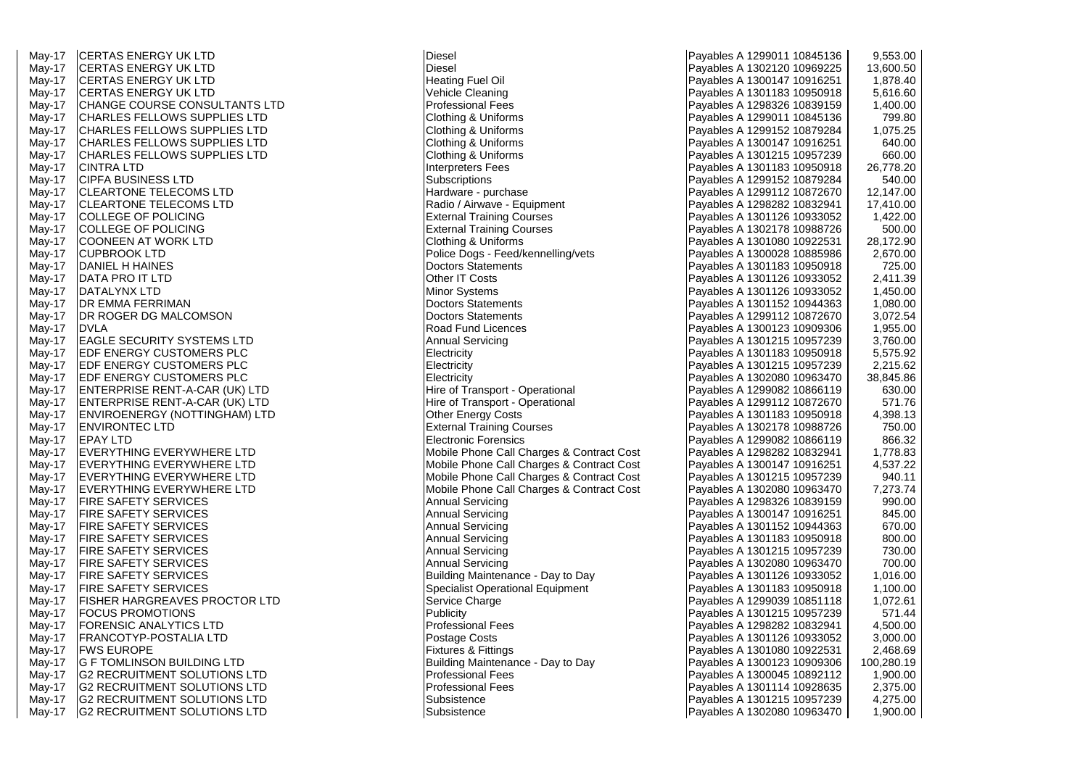May-17 CERTAS ENERGY UK LTD NORTH STREET (1990) Diesel Diesel Diesel Diesel Payables A 1299011 10845<br>May-17 CERTAS ENERGY UK LTD NORTH Diesel Diesel Diesel Diesel Diesel Payables A 1302120 10969 CERTAS ENERGY UK LTD<br>CERTAS ENERGY UK LTD DIESEL PAYABLES A 1302120 109725 1302120 109720 109720 1302120 10972 May-17 CERTAS ENERGY UK LTD **Heating Fuel Oil** Heating Fuel Oil Payables A 1300147 10916 May-17 CERTAS ENERGY UK LTD Vehicle Cleaning Vehicle Cleaning Payables A 1301183 10950 May-17 CHANGE COURSE CONSULTANTS LTD **Professional Fees** Payables A 1298326 10839<br>Payables A 1299011 10845 Nay-17 CHARLES FELLOWS SUPPLIES LTD May-17 | CHARLES FELLOWS SUPPLIES LTD **Clothing & Uniforms** Payables A 1299011 10845 May-17 | CHARLES FELLOWS SUPPLIES LTD **Clothing & Uniforms** Payables A 1299152 10879 May-17 CHARLES FELLOWS SUPPLIES LTD <br>May-17 CHARLES FELLOWS SUPPLIES LTD Clothing & Uniforms Clothing & Uniforms Payables A 1300147 10916: May-17 CHARLES FELLOWS SUPPLIES LTD Clothing & Uniform<br>May-17 CINTRA LTD May-17 1001 Research 2001 May-17 CINTRA LTD Interpreters Fees Payables A 1301183 10950918 26,778.20 May-17 CIPFA BUSINESS LTD **Subscriptions** Subscriptions Subscriptions (Subscriptions Fayables A 1299152 10879<br>May-17 CLEARTONE TELECOMS LTD **Runder State of Subscriptions** (Subscriptions Fayables A 1299112 10872 May-17 CLEARTONE TELECOMS LTD **Hardware - purchase** Purchase Payables A 1299112 10872<br>May-17 CLEARTONE TELECOMS LTD Radio / Airwave - Equipment Payables A 1298282 10832 CLEARTONE TELECOMS LTD<br>COLLEGE OF POLICING Radio / Airwave - Equipment Payables A 1298282 10832<br>Radio / Airwave - Equipment Payables A 12982 May-17 COLLEGE OF POLICING National Section of External Training Courses National Payables A 1301126 10933<br>May-17 COLLEGE OF POLICING National Section of External Training Courses National Payables A 1302178 10988 May-17 COLLEGE OF POLICING **External Training Courses** Payables A 1302178 10988 May-17 COONEEN AT WORK LTD COONER CHARGE CLOTHING A Uniforms Clothing & Uniforms Payables A 1301080 10922 May-17 CUPBROOK LTD **Police Dogs - Feed/kennelling/vets** Payables A 1300028 10885<br>May-17 DANIEL H HAINES PARTICLE PAYABLES May-17 DANIEL H HAINES **Doctors Statements** Doctors Statements Payables A 1301183 10950<br>May-17 DATA PRO IT LTD **Payables A 1301126 10933** May-17 DATA PRO IT LTD **Example 2008** 2009 12:41 Other IT Costs **Payables A 1301126 10933** Minor Systems Payables A 1301126 10933 Ninor Systems Payables A 1301126 10933 May-17 DR EMMA FERRIMAN DOCTORS Statements A 1301152 10944 May-17 DR ROGER DG MALCOMSON Doctors Statements Payables A 1299112 108720<br>Road Fund Licences Payables A 1300123 10909. DVLA DULA Road Fund Licences Payables A 1300123 10909<br>EAGLE SECURITY SYSTEMS LTD Road Pund Servicing Payables A 1301215 10957 May-17 | EAGLE SECURITY SYSTEMS LTD | Annual Servicing | Annual Servicing | Payables A 1301215 10957<br>
May-17 | EDF ENERGY CUSTOMERS PLC | Electricity | Electricity | Payables A 1301183 10950 May-17 EDF ENERGY CUSTOMERS PLC Electricity Electricity Reserves the Rayables A 1301183 10950<br>
Ray-17 EDF ENERGY CUSTOMERS PLC Electricity Electricity Rayables A 1301215 10957 May-17 EDF ENERGY CUSTOMERS PLC Electricity **Electricity** Payables A 1301215 10957 May-17 EDF ENERGY CUSTOMERS PLC Electricity Electricity Electricity Rayables A 1302080 10963 May-17 ENTERPRISE RENT-A-CAR (UK) LTD Hire of Transport - Operational Payables A 1299082 10866119 630.00 May-17 ENTERPRISE RENT-A-CAR (UK) LTD Hire of Transport - Operational Payables A 1299112 10872670 571.76 May-17 ENVIROENERGY (NOTTINGHAM) LTD Other Energy Costs Payables A 1301183 10950918 4,398.13 May-17 | ENVIRONTEC LTD **External Training Courses** Payables A 1302178 10988 May-17 EPAY LTD **EXALLACTER SERVICES** Electronic Forensics **Payables A 1299082 10866** May-17 |EVERYTHING EVERYWHERE LTD | Mobile Phone Call Charges & Contract Cost | Payables A 1298282 10832 May-17 EVERYTHING EVERYWHERE LTD Mobile Phone Call Charges & Contract Cost Payables A 1300147 10916:<br>Mobile Phone Call Charges & Contract Cost Payables A 1301215 10957. May-17 EVERYTHING EVERYWHERE LTD Mobile Phone Call Charges & Contract Cost Payables A 1301215 10957 May-17 EVERYTHING EVERYWHERE LTD Mobile Phone Call Charges & Contract Cost Payables A 1302080 10963<br>May-17 FIRE SAFETY SERVICES May-17 Payables A 1298326 10839 May-17 FIRE SAFETY SERVICES Annual Servicing Annual Servicing Payables A 1298326 10839 May-17 FIRE SAFETY SERVICES Annual Servicing Annual Servicing Payables A 1300147 10916<br>May-17 FIRE SAFETY SERVICES ANNUAL Servicing Annual Servicing Payables A 1301152 10944 May-17 FIRE SAFETY SERVICES Annual Servicing Annual Servicing Payables A 1301152 10944 May-17 FIRE SAFETY SERVICES Annual Servicing Annual Servicing Payables A 1301183 10950 May-17 FIRE SAFETY SERVICES Annual Servicing Annual Servicing Payables A 1301215 10957 May-17 FIRE SAFETY SERVICES Annual Servicing Annual Servicing Payables A 1302080 10963 May-17 FIRE SAFETY SERVICES **Building Maintenance - Day to Day** Payables A 1301126 10933 May-17 FIRE SAFETY SERVICES Superintently and Specialist Operational Equipment Payables A 1301183 10950 May-17 | FISHER HARGREAVES PROCTOR LTD Service Charge Service Charge Service Charge Payables A 1299039 10851 May-17 | FOCUS PROMOTIONS | Publicity | Publicity | Publicity | Publicity | Payables A 1301215 10957<br>28282 10832 10832 TID | Professional Fees | Professional Fees | Payables A 1298282 10832 May-17 | FORENSIC ANALYTICS LTD **Professional Fees** Professional Fees Payables A 1298282 10832 May-17 FRANCOTYP-POSTALIA LTD RESOLUTION RESOLUTION RESOLUTION POSTAGE COSTS PAYABLES A 1301126 10933 May-17 FWS EUROPE **Fixtures & Fittings** Payables A 1301080 109225 May-17 G F TOMLINSON BUILDING LTD **Example 20 Set A 1300123** 10909 Building Maintenance - Day to Day **Payables A 1300123 10909** May-17 G2 RECRUITMENT SOLUTIONS LTD **Professional Fees** Payables A 1300045 10892<sup>1</sup> May-17 G2 RECRUITMENT SOLUTIONS LTD **Professional Fees** Payables A 1301114 109286 May-17 G2 RECRUITMENT SOLUTIONS LTD Subsistence Subsistence Substantial Subsistence Review Rayables A 1301215 10957 May-17 G2 RECRUITMENT SOLUTIONS LTD Subsistence Subsistence Substantial Subsistence Review Rayables A 1302080 10963

| 136        | 9,553.00              |
|------------|-----------------------|
| 225        | 13,600.50             |
| 251        | 1,878.40              |
| 918        | 5,616.60              |
| 159        | 1,400.00              |
| 136        | 799.80                |
| 284        | 1,075.25              |
| 251        | 640.00                |
| 239        | 660.00                |
| 918<br>284 | 26,778.20<br>540.00   |
| 670        | 12,147.00             |
| 941        | 17,410.00             |
| 052        | 1,422.00              |
| 726        | 500.00                |
| 531        | 28,172.90             |
| 986        | 2,670.00              |
| 918        | 725.00                |
| 052        | 2,411.39              |
| 052        | 1,450.00              |
| 363        | 1,080.00              |
| 670        | 3,072.54              |
| 306        | 1,955.00              |
| 239        | 3,760.00              |
| 918        | 5,575.92              |
| 239<br>470 | 2,215.62<br>38,845.86 |
| 119        | 630.00                |
| 670        | 571.76                |
| 918        | 4,398.13              |
| 726        | 750.00                |
| 119        | 866.32                |
| 941        | 1,778.83              |
| 251        | 4,537.22              |
| 239        | 940.11                |
| 470        | 7,273.74              |
| 159        | 990.00                |
| 251        | 845.00                |
| 363        | 670.00                |
| 918        | 800.00                |
| 239<br>470 | 730.00<br>700.00      |
| 052        | 1,016.00              |
| 918        | 1,100.00              |
| 118        | 1,072.61              |
| 239        | 571.44                |
| 941        | 4,500.00              |
| 052        | 3,000.00              |
| 531        | 2,468.69              |
| 306        | 100,280.19            |
| 112        | 1,900.00              |
| 635        | 2,375.00              |
| 239        | 4,275.00              |
| 470        | 1,900.00              |
|            |                       |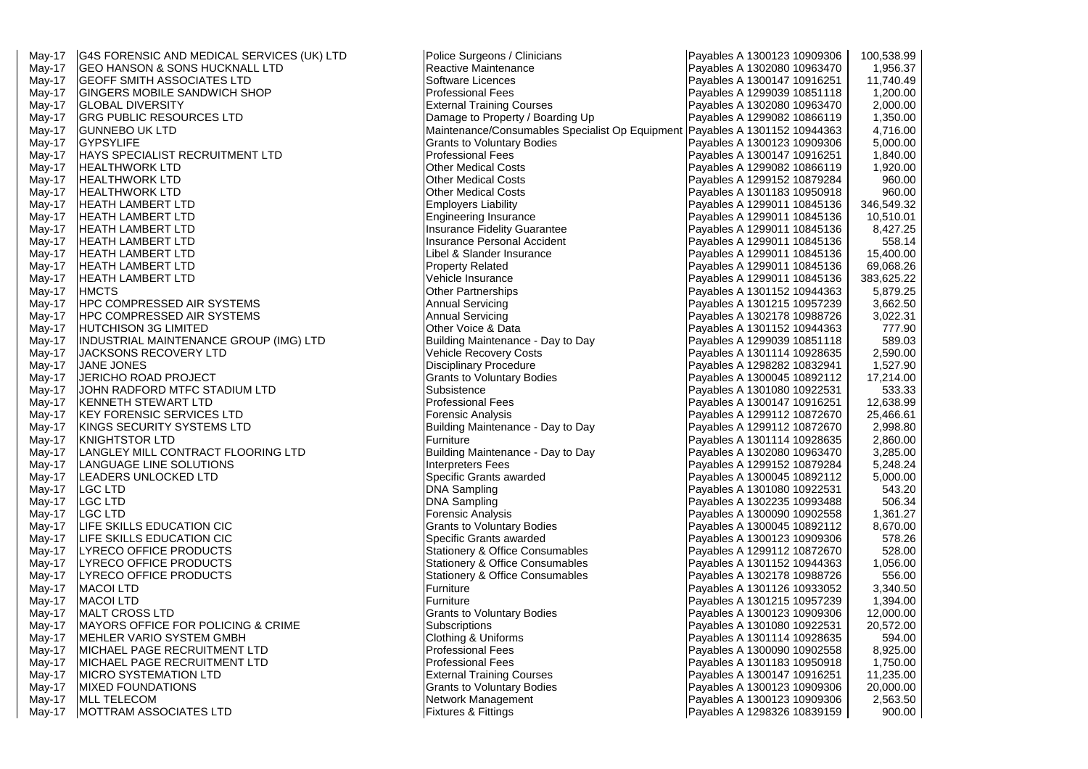GEO HANSON & SONS HUCKNALL LTD May-17 | HAYS SPECIALIST RECRUITMENT LTD | Professional Fees Payable A 1300147 1, 1300147 1,8400147 1,840.0001<br>May-17 | HEALTHWORK LTD May-17 |JACKSONS RECOVERY LTD<br>
May-17 |JANE JONES | May-17 |JANE JONES May-17 JJOHN RADFORD MTFC STADIUM LTD Subsistence

May-17 G4S FORENSIC AND MEDICAL SERVICES (UK) LTD Police Surgeons / Clinicians Payables A 1300123 109093 10909<br>Reactive Maintenance Payables A 1302080 10963. May-17 GEOFF SMITH ASSOCIATES LTD Software Licences Section 1200147 109162 May-17 | GINGERS MOBILE SANDWICH SHOP | Professional Fees | Professional Fees | Payables A 1299039 10851 May-17 | GLOBAL DIVERSITY | CONNERSITY | External Training Courses | External Training Courses | Payables A 1302080 109634<br>| Damage to Property / Boarding Up | Payables A 1299082 10866 | Namage Training Courses | Payables Damage to Property / Boarding Up Payables A 1299082 10866 Maintenance/Consumables Specialist Op Equipment Payables A 1301152 109443 May-17 GYPSYLIFE **GALLIST RECRUITMENT LTD Grants to Voluntary Bodies** Payables A 1300123 109093<br>Professional Fees Payables A 1300147 109162 Professional Fees Professional Fees Payables A 1300147 109162 HEALTHWORK LTD Other Medical Costs Payables A 1299082 10866<br>HEALTHWORK LTD Other Medical Costs Payables A 1299152 10879: May-17 HEALTHWORK LTD **No. 2008 108792** Other Medical Costs Payables A 1299152 108792<br>Other Medical Costs Payables A 1301183 109509 May-17 HEALTHWORK LTD **No. 2018** Nay-17 HEALTHWORK LTD **COLL CONS** Payables A 1301183 10950.<br>10845 Employers Liability Payables A 1299011 10845 Employers Liability de Lambert Lambert Lambert Lambert Lambert Lambert Lambert Lambert Lambert Lambert Lambert<br>1934-199011 10845 346,549.32 May-17 HEATH LAMBERT LTD **Engineering Insurance Payables A 1299011 10845** May-17 HEATH LAMBERT LTD Insurance Fidelity Guarantee **Insurance Fidelity Guarantee** Payables A 1299011 10845 May-17 | HEATH LAMBERT LTD | Insurance Personal Accident | Insurance Personal Accident | Payables A 1299011 10845<br>10845 1299011 10845 558.147 | Payables A 1299011 10845 May-17 HEATH LAMBERT LTD **Libel & Slander Insurance** Payables A 1299011 10845<br>May-17 HEATH LAMBERT LTD **Results A 1299011 10845**<br>Property Related Payables A 1299011 10845 May-17 HEATH LAMBERT LTD Notable and America Controller and Property Related Payables A 1299011 10845<br>199011 10845 69,068.269.261 10845 69,068.269,076.267 10845 May-17 HEATH LAMBERT LTD Notation and Nehicle Insurance New Yehicle Insurance Payables A 1299011 10845 May-17 HMCTS **Example 2018 The Set of Australian Structure Controllers** Partnerships **Payables A 1301152 109443** May-17 HPC COMPRESSED AIR SYSTEMS AND Annual Servicing Annual Servicing Payables A 1301215 109572 May-17 HPC COMPRESSED AIR SYSTEMS Annual Servicing Annual Servicing Payables A 1302178 10988<br>
May-17 HUTCHISON 3G LIMITED **COMPRESSED AIR SYSTEMS** HUTCHISON 3G LIMITED<br>109443 109443 12 MAINTENANCE GROUP (IMG) LTD District the Building Maintenance - Day to Day May-17 |INDUSTRIAL MAINTENANCE GROUP (IMG) LTD | Building Maintenance - Day to Day | Payables A 1299039 108511<br>Vehicle Recovery Costs | Payables A 1301114 109286 May-17 |JANE JONES | Disciplinary Procedure | Disciplinary Procedure | Payables A 1298282 1083291 | Payables A<br>200045 10892 | Disciplinary Procedure | Payables A 1300045 10892 May-17 JERICHO ROAD PROJECT Grants to Voluntary Bodies Payables A 1300045 10892112 17,214.00 May-17 KENNETH STEWART LTD **Professional Fees** Professional Fees Payables A 1300147 109162<br>May-17 KEY FORENSIC SERVICES LTD **Payables A 1299112 108726** May-17 KEY FORENSIC SERVICES LTD **Forensic Analysis** Forensic Analysis Payables A 1299112 108726<br>Building Maintenance - Day to Day Payables A 1299112 108726 May-17 KINGS SECURITY SYSTEMS LTD Building Maintenance - Day to Day Payables A 1299112 108726 May-17 | KNIGHTSTOR LTD | Furniture | Furniture | Furniture | Furniture | Payables A 1301114 109286<br>109634 1202080 2,860.000 109634 Payables A 1302080 109634 Ruilding Maintenance - Day to Day May-17 |LANGLEY MILL CONTRACT FLOORING LTD | Building Maintenance - Day to Day | Payables A 1302080 109634<br>| May-17 |LANGUAGE LINE SOLUTIONS | Interpreters Fees | Interpreters Fees May-17 LANGUAGE LINE SOLUTIONS Interpreters Fees Payables A 1299152 10879284 5,248.24 LEADERS UNLOCKED LTD Specific Grants awarded Payables A 1300045 10892<sup>.</sup><br>LGC LTD DNA Sampling Payables A 1301080 10922: May-17 LGC LTD **DNA Sampling** Payables A 1301080 109225 May-17 | LGC LTD | DNA Sampling | DNA Sampling | DNA Sampling | Payables A 1302235 109934<br>| Payables A 1300090 109029 506.34 506.34 506.34 506.34 506.34 506.34 506.34 506.34 506.34 506.34 506.34 506.3 May-17 | LGC LTD | COLTD | Forensic Analysis | Forensic Analysis | Forensic Analysis | Payables A 1300090 10902<br>| May-17 | LIFE SKILLS EDUCATION CIC | Crants to Voluntary Bodies | Crants to Voluntary Bodies | Payables A 13 May-17 LIFE SKILLS EDUCATION CIC **Grants to Voluntary Bodies** Payables A 1300045 10892<sup>,</sup> May-17 LIFE SKILLS EDUCATION CIC Specific Grants awarded Payables A 1300123 10909306 578.26 May-17 |LYRECO OFFICE PRODUCTS | Stationery & Office Consumables | Payables A 1299112 108726 May-17 |LYRECO OFFICE PRODUCTS | Stationery & Office Consumables | Payables A 1301152 109443 May-17 LYRECO OFFICE PRODUCTS Stationery & Office Consumables Payables A 1302178 10988 May-17 |MACOI LTD **Furniture** | Furniture | Furniture | Payables A 1301126 109330 May-17 | MACOI LTD | NACOI LTD | Payables A 1301215 109572<br>May-17 | MALT CROSS LTD | Payables A 1300123 10909; May-17 | MALT CROSS LTD **Grants to Voluntary Bodies** Payables A 1300123 109093 May-17 MAYORS OFFICE FOR POLICING & CRIME Subscriptions Subscriptions A 1301080 109229 May-17 MEHLER VARIO SYSTEM GMBH May-17 | MEHLER VARIO SYSTEM GMBH COMERCITY Clothing & Uniforms | Clothing Comercial Clothing Comercial Clothing Summer Section 109286 May-17 | MICHAEL PAGE RECRUITMENT LTD **Professional Fees** Payables A 1300090 109025 May-17 | MICHAEL PAGE RECRUITMENT LTD **Professional Fees** Payables A 1301183 1095091 May-17 | MICRO SYSTEMATION LTD **Notice 2018** | External Training Courses | Payables A 1300147 109162 May-17 | MIXED FOUNDATIONS GRANTS CONSULTED SERVICES TO SAFET A LOST CHARGIST CONTROLLER TO SAFET A 1300123 10909 May-17 |MLL TELECOM Network Management | Network Management | Payables A 1300123 109093 May-17 |MOTTRAM ASSOCIATES LTD **Fixtures & Fittings** Payables A 1298326 10839

| 306        | 100,538.99            |
|------------|-----------------------|
| 470        | 1,956.37              |
| 251        | 11,740.49             |
| 118        | 1,200.00              |
| 470<br>119 | 2,000.00<br>1,350.00  |
| 363        | 4,716.00              |
| 306        | 5,000.00              |
| 251        | 1,840.00              |
| 119        | 1,920.00              |
| 284        | 960.00                |
| 918        | 960.00                |
| 136        | 346,549.32            |
| 136        | 10,510.01             |
| 136        | 8,427.25<br>558.14    |
| 136<br>136 | 15,400.00             |
| 136        | 69,068.26             |
| 136        | 383,625.22            |
| 363        | 5,879.25              |
| 239        | 3,662.50              |
| 726        | 3,022.31              |
| 363        | 777.90                |
| 118        | 589.03                |
| 635<br>941 | 2,590.00              |
| 112        | 1,527.90<br>17,214.00 |
| 531        | 533.33                |
| 251        | 12,638.99             |
| 670        | 25,466.61             |
| 670        | 2,998.80              |
| 635        | 2,860.00              |
| 470        | 3,285.00              |
| 284        | 5,248.24              |
| 112<br>531 | 5,000.00<br>543.20    |
| 488        | 506.34                |
| 558        | 1,361.27              |
| 112        | 8,670.00              |
| 306        | 578.26                |
| 670        | 528.00                |
| 363        | 1,056.00              |
| 726        | 556.00                |
| 052<br>239 | 3,340.50<br>1,394.00  |
| 306        | 12,000.00             |
| 531        | 20,572.00             |
| 635        | 594.00                |
| 558        | 8,925.00              |
| 918        | 1,750.00              |
| 251        | 11,235.00             |
| 306        | 20,000.00             |
| 306        | 2,563.50              |
| 159        | 900.00                |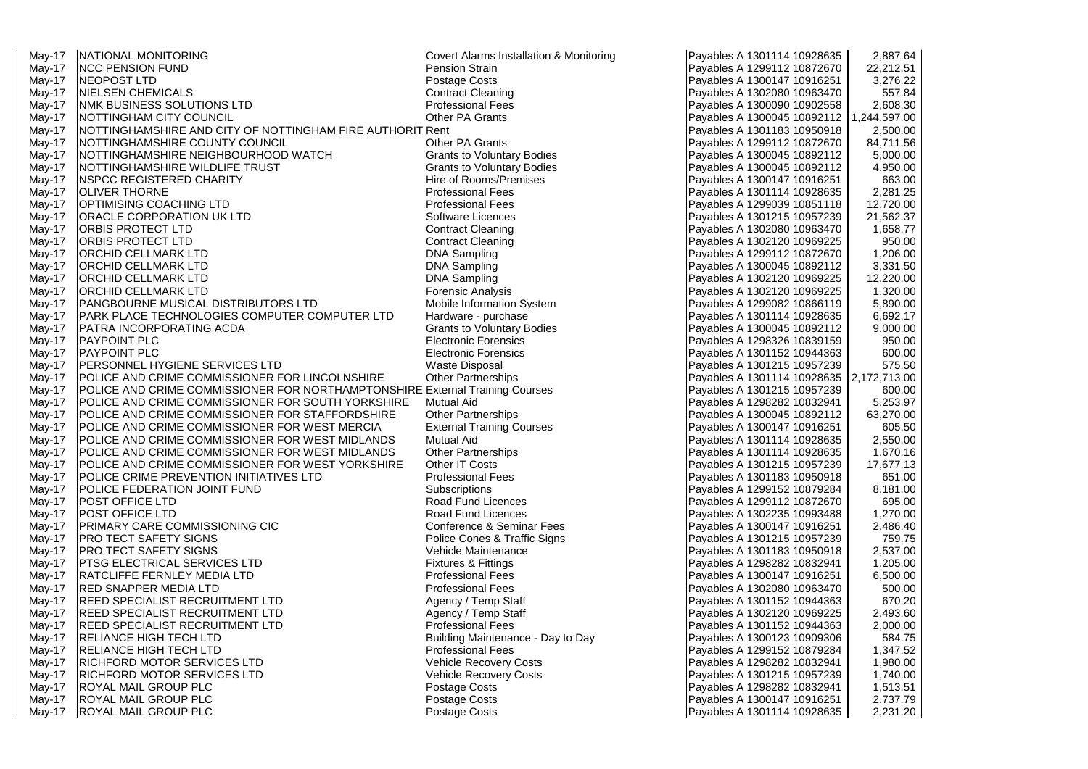| May-17 | <b>NATIONAL MONITORING</b>                                                   | Covert Alarms Installation & Monitoring | Payables A 1301114 10928635 | 2,887.64     |
|--------|------------------------------------------------------------------------------|-----------------------------------------|-----------------------------|--------------|
| May-17 | <b>NCC PENSION FUND</b>                                                      | <b>Pension Strain</b>                   | Payables A 1299112 10872670 | 22,212.51    |
| May-17 | <b>NEOPOST LTD</b>                                                           | <b>Postage Costs</b>                    | Payables A 1300147 10916251 | 3,276.22     |
| May-17 | <b>NIELSEN CHEMICALS</b>                                                     | <b>Contract Cleaning</b>                | Payables A 1302080 10963470 | 557.84       |
| May-17 | NMK BUSINESS SOLUTIONS LTD                                                   | <b>Professional Fees</b>                | Payables A 1300090 10902558 | 2,608.30     |
| May-17 | <b>NOTTINGHAM CITY COUNCIL</b>                                               | <b>Other PA Grants</b>                  | Payables A 1300045 10892112 | 1,244,597.00 |
| May-17 | NOTTINGHAMSHIRE AND CITY OF NOTTINGHAM FIRE AUTHORIT Rent                    |                                         | Payables A 1301183 10950918 | 2,500.00     |
| May-17 | NOTTINGHAMSHIRE COUNTY COUNCIL                                               | <b>Other PA Grants</b>                  | Payables A 1299112 10872670 | 84,711.56    |
| May-17 | NOTTINGHAMSHIRE NEIGHBOURHOOD WATCH                                          | <b>Grants to Voluntary Bodies</b>       | Payables A 1300045 10892112 | 5,000.00     |
| May-17 | INOTTINGHAMSHIRE WILDLIFE TRUST                                              | <b>Grants to Voluntary Bodies</b>       | Payables A 1300045 10892112 | 4,950.00     |
| May-17 | <b>NSPCC REGISTERED CHARITY</b>                                              | <b>Hire of Rooms/Premises</b>           | Payables A 1300147 10916251 | 663.00       |
| May-17 | <b>OLIVER THORNE</b>                                                         | <b>Professional Fees</b>                | Payables A 1301114 10928635 | 2,281.25     |
| May-17 | <b>OPTIMISING COACHING LTD</b>                                               | <b>Professional Fees</b>                | Payables A 1299039 10851118 | 12,720.00    |
| May-17 | <b>ORACLE CORPORATION UK LTD</b>                                             | <b>Software Licences</b>                | Payables A 1301215 10957239 | 21,562.37    |
|        | <b>ORBIS PROTECT LTD</b>                                                     | <b>Contract Cleaning</b>                | Payables A 1302080 10963470 | 1,658.77     |
| May-17 | <b>ORBIS PROTECT LTD</b>                                                     |                                         | Payables A 1302120 10969225 | 950.00       |
| May-17 |                                                                              | <b>Contract Cleaning</b>                |                             |              |
| May-17 | <b>ORCHID CELLMARK LTD</b>                                                   | <b>DNA Sampling</b>                     | Payables A 1299112 10872670 | 1,206.00     |
| May-17 | <b>ORCHID CELLMARK LTD</b>                                                   | <b>DNA Sampling</b>                     | Payables A 1300045 10892112 | 3,331.50     |
| May-17 | <b>ORCHID CELLMARK LTD</b>                                                   | <b>DNA Sampling</b>                     | Payables A 1302120 10969225 | 12,220.00    |
| May-17 | <b>ORCHID CELLMARK LTD</b>                                                   | Forensic Analysis                       | Payables A 1302120 10969225 | 1,320.00     |
| May-17 | PANGBOURNE MUSICAL DISTRIBUTORS LTD                                          | Mobile Information System               | Payables A 1299082 10866119 | 5,890.00     |
| May-17 | <b>PARK PLACE TECHNOLOGIES COMPUTER COMPUTER LTD</b>                         | Hardware - purchase                     | Payables A 1301114 10928635 | 6,692.17     |
| May-17 | <b>PATRA INCORPORATING ACDA</b>                                              | <b>Grants to Voluntary Bodies</b>       | Payables A 1300045 10892112 | 9,000.00     |
| May-17 | <b>PAYPOINT PLC</b>                                                          | <b>Electronic Forensics</b>             | Payables A 1298326 10839159 | 950.00       |
| May-17 | <b>PAYPOINT PLC</b>                                                          | <b>Electronic Forensics</b>             | Payables A 1301152 10944363 | 600.00       |
| May-17 | <b>PERSONNEL HYGIENE SERVICES LTD</b>                                        | <b>Waste Disposal</b>                   | Payables A 1301215 10957239 | 575.50       |
| May-17 | POLICE AND CRIME COMMISSIONER FOR LINCOLNSHIRE                               | <b>Other Partnerships</b>               | Payables A 1301114 10928635 | 2,172,713.00 |
| May-17 | POLICE AND CRIME COMMISSIONER FOR NORTHAMPTONSHIRE External Training Courses |                                         | Payables A 1301215 10957239 | 600.00       |
| May-17 | POLICE AND CRIME COMMISSIONER FOR SOUTH YORKSHIRE                            | <b>Mutual Aid</b>                       | Payables A 1298282 10832941 | 5,253.97     |
| May-17 | POLICE AND CRIME COMMISSIONER FOR STAFFORDSHIRE                              | <b>Other Partnerships</b>               | Payables A 1300045 10892112 | 63,270.00    |
| May-17 | POLICE AND CRIME COMMISSIONER FOR WEST MERCIA                                | <b>External Training Courses</b>        | Payables A 1300147 10916251 | 605.50       |
| May-17 | POLICE AND CRIME COMMISSIONER FOR WEST MIDLANDS                              | <b>Mutual Aid</b>                       | Payables A 1301114 10928635 | 2,550.00     |
| May-17 | POLICE AND CRIME COMMISSIONER FOR WEST MIDLANDS                              | <b>Other Partnerships</b>               | Payables A 1301114 10928635 | 1,670.16     |
| May-17 | POLICE AND CRIME COMMISSIONER FOR WEST YORKSHIRE                             | <b>Other IT Costs</b>                   | Payables A 1301215 10957239 | 17,677.13    |
| May-17 | POLICE CRIME PREVENTION INITIATIVES LTD                                      | <b>Professional Fees</b>                | Payables A 1301183 10950918 | 651.00       |
| May-17 | POLICE FEDERATION JOINT FUND                                                 | <b>Subscriptions</b>                    | Payables A 1299152 10879284 | 8,181.00     |
| May-17 | <b>POST OFFICE LTD</b>                                                       | <b>Road Fund Licences</b>               | Payables A 1299112 10872670 | 695.00       |
| May-17 | <b>POST OFFICE LTD</b>                                                       | <b>Road Fund Licences</b>               | Payables A 1302235 10993488 | 1,270.00     |
| May-17 | PRIMARY CARE COMMISSIONING CIC                                               | <b>Conference &amp; Seminar Fees</b>    | Payables A 1300147 10916251 | 2,486.40     |
| May-17 | <b>PRO TECT SAFETY SIGNS</b>                                                 | Police Cones & Traffic Signs            | Payables A 1301215 10957239 | 759.75       |
| May-17 | <b>PRO TECT SAFETY SIGNS</b>                                                 | <b>Vehicle Maintenance</b>              | Payables A 1301183 10950918 | 2,537.00     |
| May-17 | <b>PTSG ELECTRICAL SERVICES LTD</b>                                          | <b>Fixtures &amp; Fittings</b>          | Payables A 1298282 10832941 | ,205.00      |
| May-17 | <b>RATCLIFFE FERNLEY MEDIA LTD</b>                                           | <b>Professional Fees</b>                | Payables A 1300147 10916251 | 6,500.00     |
| May-17 | <b>RED SNAPPER MEDIA LTD</b>                                                 | <b>Professional Fees</b>                | Payables A 1302080 10963470 | 500.00       |
| May-17 | <b>REED SPECIALIST RECRUITMENT LTD</b>                                       | Agency / Temp Staff                     | Payables A 1301152 10944363 | 670.20       |
|        | REED SPECIALIST RECRUITMENT LTD                                              | Agency / Temp Staff                     | Payables A 1302120 10969225 |              |
| May-17 |                                                                              | <b>Professional Fees</b>                |                             | 2,493.60     |
| May-17 | REED SPECIALIST RECRUITMENT LTD                                              |                                         | Payables A 1301152 10944363 | 2,000.00     |
| May-17 | <b>RELIANCE HIGH TECH LTD</b>                                                | Building Maintenance - Day to Day       | Payables A 1300123 10909306 | 584.75       |
| May-17 | <b>RELIANCE HIGH TECH LTD</b>                                                | <b>Professional Fees</b>                | Payables A 1299152 10879284 | 1,347.52     |
| May-17 | <b>RICHFORD MOTOR SERVICES LTD</b>                                           | <b>Vehicle Recovery Costs</b>           | Payables A 1298282 10832941 | 1,980.00     |
| May-17 | RICHFORD MOTOR SERVICES LTD                                                  | <b>Vehicle Recovery Costs</b>           | Payables A 1301215 10957239 | 1,740.00     |
| May-17 | <b>ROYAL MAIL GROUP PLC</b>                                                  | Postage Costs                           | Payables A 1298282 10832941 | 1,513.51     |
| May-17 | <b>ROYAL MAIL GROUP PLC</b>                                                  | Postage Costs                           | Payables A 1300147 10916251 | 2,737.79     |
| May-17 | <b>ROYAL MAIL GROUP PLC</b>                                                  | <b>Postage Costs</b>                    | Payables A 1301114 10928635 | 2,231.20     |

| 635        | 2,887.64                 |
|------------|--------------------------|
| 670        | 22,212.51                |
| 251        | 3,276.22                 |
| 470<br>558 | 557.84                   |
| 112        | 2,608.30<br>1,244,597.00 |
| 918        | 2,500.00                 |
| 670        | 84,711.56                |
| 112        | 5,000.00                 |
| 112        | 4,950.00                 |
| 251        | 663.00                   |
| 635        | 2,281.25                 |
| 118        | 12,720.00                |
| 239        | 21,562.37                |
| 470        | 1,658.77                 |
| 225        | 950.00                   |
| 670<br>112 | 1,206.00<br>3,331.50     |
| 225        | 12,220.00                |
| 225        | 1,320.00                 |
| 119        | 5,890.00                 |
| 635        | 6,692.17                 |
| 112        | 9,000.00                 |
| 159        | 950.00                   |
| 363        | 600.00                   |
| 239        | 575.50                   |
| 635        | 2,172,713.00             |
| 239        | 600.00                   |
| 941        | 5,253.97                 |
| 112<br>251 | 63,270.00<br>605.50      |
| 635        | 2,550.00                 |
| 635        | 1,670.16                 |
| 239        | 17,677.13                |
| 918        | 651.00                   |
| 284        | 8,181.00                 |
| 670        | 695.00                   |
| 488        | 1,270.00                 |
| 251        | 2,486.40                 |
| 239        | 759.75                   |
| 918        | 2,537.00                 |
| 941        | 1,205.00                 |
| 251<br>470 | 6,500.00<br>500.00       |
| 363        | 670.20                   |
| 225        | 2,493.60                 |
| 363        | 2,000.00                 |
| 306        | 584.75                   |
| 284        | 1,347.52                 |
| 941        | 1,980.00                 |
| 239        | 1,740.00                 |
| 941        | 1,513.51                 |
| 251        | 2,737.79                 |
| 635        | 2,231.20                 |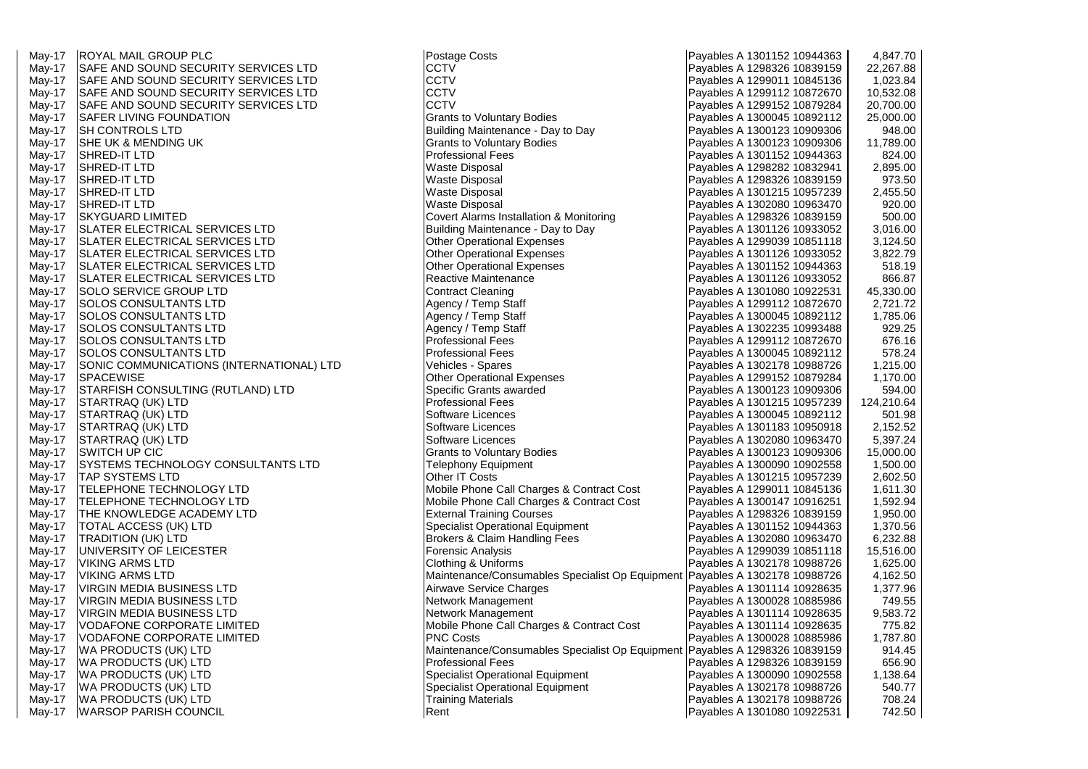SAFE AND SOUND SECURITY SERVICES LTD  $\begin{array}{ccc} \text{CCTV} \end{array}$ May-17 STARFISH CONSULTING (RUTLAND) LTD Specific Grants awarded Payables A 1300123 100123 100123 100123 1000<br>May-17 STARTRAQ (UK) LTD May-17 | VIRGIN MEDIA BUSINESS LTD Network Management May-17 VODAFONE CORPORATE LIMITED Mobile Phone Call Charges & Contract Cost May-17 WARSOP PARISH COUNCIL Note and Alleger and Payables A 1301080 109225

May-17 ROYAL MAIL GROUP PLC Postage Costs Payables A 1301152 10944363 4,847.70 May-17 SAFE AND SOUND SECURITY SERVICES LTD CCTV Payables A 1299011 10845136 1,023.84 May-17 SAFE AND SOUND SECURITY SERVICES LTD CCTV Payables A 1299112 10872670 10,532.08 May-17 SAFE AND SOUND SECURITY SERVICES LTD <br>
May-17 SAFER LIVING FOUNDATION CRANER INTERNATION CRANER RANGER A 1300045 10879. May-17 SAFER LIVING FOUNDATION GRANTS CONSULTED SAILS A 1300045 10892 May-17 SH CONTROLS LTD **SHILL INCONTROLS LTD** Building Maintenance - Day to Day Payables A 1300123 10909 May-17 SHE UK & MENDING UK Grants to Voluntary Bodies May-17 SHE UK & MENDING UK<br>May-17 SHRED-IT LTD Grants A 1300123 10943 May-17 SHRED-IT LTD **Professional Fees A 1301152 109443** Professional Fees Payables A 1301152 109443<br>May-17 SHRED-IT LTD **Payables A 1298282 108329** May-17 SHRED-IT LTD Waste Disposal Payables A 1298282 10832941 2,895.00 May-17 SHRED-IT LTD November 2008 | Waste Disposal Nay-17 | SHRED-IT LTD | Payables A 1298326 10839<br>10957: Nay-17 | SHRED-IT LTD | Nay-17 | SHRED-IT LTD | Waste Disposal | Waste Disposal | Payables A 1301215 1 May-17 SHRED-IT LTD Waste Disposal Payables A 1301215 10957239 2,455.50 Payables A 1302080 109634 May-17 SKYGUARD LIMITED **Notain Covert Alarms Installation & Monitoring** Payables A 1298326 10839 May-17 SLATER ELECTRICAL SERVICES LTD **Building Maintenance - Day to Day** Payables A 1301126 109330 May-17 SLATER ELECTRICAL SERVICES LTD **CHARGE CONTROL** Other Operational Expenses Payables A 1299039 10851 May-17 SLATER ELECTRICAL SERVICES LTD **CHECT AND COMPUTER** Other Operational Expenses Payables A 1301126 109336<br>10944:9 Display-17 SLATER ELECTRICAL SERVICES LTD **CHECT AND COMPUTER** Other Operational Expenses May-17 SLATER ELECTRICAL SERVICES LTD **CHECT AND SERVICES LTD Other Operational Expenses** Payables A 1301152 109443<br>Reactive Maintenance **Payables A 1301126 10933** 10933 518.19933 518.19933 518.19933 518.19933 518.19933 May-17 SLATER ELECTRICAL SERVICES LTD Reactive Maintenance Reserves A 1301126 109330 May-17 SOLO SERVICE GROUP LTD **Contract Cleaning** Payables A 1301080 109225 May-17 SOLOS CONSULTANTS LTD Agency / Temp Staff Payables A 1299112 108726 May-17 SOLOS CONSULTANTS LTD Agency / Temp Staff Payables A 1300045 10892<br>May-17 SOLOS CONSULTANTS LTD Agency / Temp Staff Payables A 1302235 10993 May-17 SOLOS CONSULTANTS LTD Agency / Temp Staff Agency Payables A 1302235 109934<br>May-17 SOLOS CONSULTANTS LTD Professional Fees Professional Fees Payables A 1299112 108726 May-17 SOLOS CONSULTANTS LTD **Professional Fees Payables A 1299112 108726**<br>Professional Fees Payables A 1300045 10892<sup>.</sup> May-17 SOLOS CONSULTANTS LTD **Professional Fees** Professional Fees Payables A 1300045 10892<br>Payables A 1302178 10988 May-17 SONIC COMMUNICATIONS (INTERNATIONAL) LTD Vehicles - Spares Payables A 1302178 10988 May-17 SPACEWISE STARFISH CONSULTING (RUTLAND) LTD SAND SERVIC SERVIC CRITIC CRITIC SERVICE SERVICE SERVICE SP<br>Specific Grants awarded Service States A 1300123 1090931 1090931 1090931 1090931 1090931 1090931 1090931 1090 May-17 STARTRAQ (UK) LTD Notes and the Professional Fees Payables A 1301215 109572<br>109572 124,210.64 124,2000 124,2000 124,2000 124,2000 124,2000 124,2000 124,2000 124,2000 124,2000 124,2000 12 May-17 STARTRAQ (UK) LTD Software Licences Software Licences Service Service Service Service Service Service S<br>May-17 STARTRAQ (UK) LTD Software Licences Service Service Service Service Service Service Service Service Ser May-17 STARTRAQ (UK) LTD Software Licences Service Service Service A 1301183 1095091 May-17 STARTRAQ (UK) LTD Software Licences Service Service Service Service Service Service Service Service Service Service Service Service Service Service Service Service Service Service Service Service Service Service Ser May-17 SWITCH UP CIC **Grants to Voluntary Bodies** Payables A 1300123 10909 May-17 SYSTEMS TECHNOLOGY CONSULTANTS LTD Telephony Equipment Payables A 1300090 109025<br>10ther IT Costs 1,500.000 1,500.000 1090257 1,500.000 1090257 1,500.000 1090257 1,500.000 1090257<br>10ther IT Costs 1,500.000 1,500.000 May-17 TAP SYSTEMS LTD **Notice 12 COMPUTER IT Costs** Payables A 1301215 109572 Mobile Phone Call Charges & Contract Cost Payables A 1299011 10845 Mobile Phone Call Charges & Contract Cost Payables A 1300147 109162 May-17 THE KNOWLEDGE ACADEMY LTD **External Training Courses** Payables A 1298326 10839 May-17 |TOTAL ACCESS (UK) LTD Specialist Operational Equipment | Specialist Operational Equipment | Payables A 1301152 109443 May-17 TRADITION (UK) LTD **And Accord Accord Brokers & Claim Handling Fees** Payables A 1302080 109634<br>100851 6,299.888 Forensic Analysis Payables A 1299039 10851 May-17 |UNIVERSITY OF LEICESTER FOR THE SERVICES RESERVED TO A SERVICE SERVICES FOR A 1299039 10851 May-17 VIKING ARMS LTD **National Clothing & Uniforms** Payables A 1302178 10988<sup>7</sup> Maintenance/Consumables Specialist Op Equipment Payables A 1302178 10988 May-17 | VIRGIN MEDIA BUSINESS LTD | Airwave Service Charges | Airwave Service Charges | Payables A 1301114 109286<br>| Network Management | Airwave Service Charges | Payables A 1300028 10885 May-17 | VIRGIN MEDIA BUSINESS LTD | Network Management | Network Management | Network Management | Payables A 1301114 109286<br>Mobile Phone Call Charges & Contract Cost | Payables A 1301114 109286 May-17 VODAFONE CORPORATE LIMITED **PNC Costs** PRIC Costs Payables A 1300028 10885 May-17 WA PRODUCTS (UK) LTD Maintenance/Consumables Specialist Op Equipment Payables A 1298326 10839 May-17 WA PRODUCTS (UK) LTD **Professional Fees** Professional Fees Payables A 1298326 10839 May-17 WA PRODUCTS (UK) LTD Specialist Operational Equipment Payables A 1300090 10902 May-17 WA PRODUCTS (UK) LTD Specialist Operational Equipment Payables A 1302178 10988 May-17 |WA PRODUCTS (UK) LTD **Training Materials** Payables A 1302178 10988

| 363        | 4,847.70             |
|------------|----------------------|
| 159        | 22,267.88            |
| 136        | 1,023.84             |
| 670        | 10,532.08            |
| 284        | 20,700.00            |
| 112        | 25,000.00            |
| 306        | 948.00               |
| 306        | 11,789.00            |
| 363        | 824.00               |
| 941        | 2,895.00             |
| 159        | 973.50               |
| 239        | 2,455.50             |
| 470<br>159 | 920.00<br>500.00     |
| 052        | 3,016.00             |
| 118        | 3,124.50             |
| 052        | 3,822.79             |
| 363        | 518.19               |
| 052        | 866.87               |
| 531        | 45,330.00            |
| 670        | 2,721.72             |
| 112        | 1,785.06             |
| 488        | 929.25               |
| 670        | 676.16               |
| 112        | 578.24               |
| 726        | 1,215.00             |
| 284        | 1,170.00             |
| 306        | 594.00               |
| 239        | 124,210.64           |
| 112        | 501.98               |
| 918        | 2,152.52             |
| 470        | 5,397.24             |
| 306        | 15,000.00            |
| 558        | 1,500.00             |
| 239        | 2,602.50             |
| 136<br>251 | 1,611.30<br>1,592.94 |
| 159        | 1,950.00             |
| 363        | 1,370.56             |
| 470        | 6,232.88             |
| 118        | 15,516.00            |
| 726        | 1,625.00             |
| 726        | 4,162.50             |
| 635        | 1,377.96             |
| 986        | 749.55               |
| 635        | 9,583.72             |
| 635        | 775.82               |
| 986        | 1,787.80             |
| 159        | 914.45               |
| 159        | 656.90               |
| 558        | 1,138.64             |
| 726        | 540.77               |
| 726        | 708.24               |
| 531        | 742.50               |